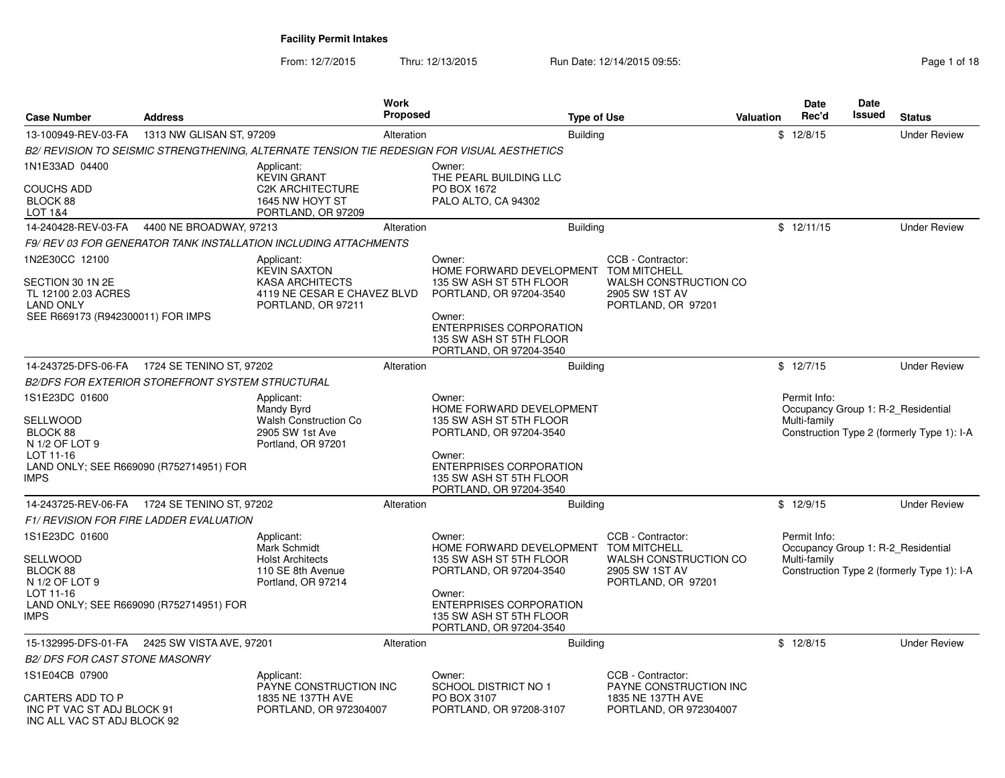From: 12/7/2015Thru: 12/13/2015 Run Date: 12/14/2015 09:55:<br>
Page 1 of 18

| <b>Case Number</b>                                                                                                 | Address                                                 |                                                                                                                  | <b>Work</b><br><b>Proposed</b> |                                                                                                                                                                                            | <b>Type of Use</b> |                                                                                                                  | <b>Valuation</b> | <b>Date</b><br>Rec'd         | <b>Date</b><br>Issued | <b>Status</b>                                                                    |
|--------------------------------------------------------------------------------------------------------------------|---------------------------------------------------------|------------------------------------------------------------------------------------------------------------------|--------------------------------|--------------------------------------------------------------------------------------------------------------------------------------------------------------------------------------------|--------------------|------------------------------------------------------------------------------------------------------------------|------------------|------------------------------|-----------------------|----------------------------------------------------------------------------------|
| 13-100949-REV-03-FA                                                                                                | 1313 NW GLISAN ST, 97209                                |                                                                                                                  | Alteration                     |                                                                                                                                                                                            | <b>Building</b>    |                                                                                                                  |                  | \$12/8/15                    |                       | <b>Under Review</b>                                                              |
|                                                                                                                    |                                                         |                                                                                                                  |                                | B2/ REVISION TO SEISMIC STRENGTHENING, ALTERNATE TENSION TIE REDESIGN FOR VISUAL AESTHETICS                                                                                                |                    |                                                                                                                  |                  |                              |                       |                                                                                  |
| 1N1E33AD 04400<br><b>COUCHS ADD</b><br>BLOCK 88<br>LOT 1&4                                                         |                                                         | Applicant:<br><b>KEVIN GRANT</b><br><b>C2K ARCHITECTURE</b><br>1645 NW HOYT ST<br>PORTLAND, OR 97209             |                                | Owner:<br>THE PEARL BUILDING LLC<br>PO BOX 1672<br>PALO ALTO, CA 94302                                                                                                                     |                    |                                                                                                                  |                  |                              |                       |                                                                                  |
| 14-240428-REV-03-FA                                                                                                | 4400 NE BROADWAY, 97213                                 |                                                                                                                  | Alteration                     |                                                                                                                                                                                            | <b>Building</b>    |                                                                                                                  |                  | \$12/11/15                   |                       | <b>Under Review</b>                                                              |
|                                                                                                                    |                                                         | F9/REV 03 FOR GENERATOR TANK INSTALLATION INCLUDING ATTACHMENTS                                                  |                                |                                                                                                                                                                                            |                    |                                                                                                                  |                  |                              |                       |                                                                                  |
| 1N2E30CC 12100<br>SECTION 30 1N 2E<br>TL 12100 2.03 ACRES<br><b>LAND ONLY</b><br>SEE R669173 (R942300011) FOR IMPS |                                                         | Applicant:<br><b>KEVIN SAXTON</b><br><b>KASA ARCHITECTS</b><br>4119 NE CESAR E CHAVEZ BLVD<br>PORTLAND, OR 97211 |                                | Owner:<br>HOME FORWARD DEVELOPMENT<br>135 SW ASH ST 5TH FLOOR<br>PORTLAND, OR 97204-3540<br>Owner:<br><b>ENTERPRISES CORPORATION</b><br>135 SW ASH ST 5TH FLOOR<br>PORTLAND, OR 97204-3540 |                    | CCB - Contractor:<br><b>TOM MITCHELL</b><br><b>WALSH CONSTRUCTION CO</b><br>2905 SW 1ST AV<br>PORTLAND, OR 97201 |                  |                              |                       |                                                                                  |
| 14-243725-DFS-06-FA                                                                                                | 1724 SE TENINO ST, 97202                                |                                                                                                                  | Alteration                     |                                                                                                                                                                                            | Building           |                                                                                                                  |                  | \$12/7/15                    |                       | <b>Under Review</b>                                                              |
|                                                                                                                    | <b>B2/DFS FOR EXTERIOR STOREFRONT SYSTEM STRUCTURAL</b> |                                                                                                                  |                                |                                                                                                                                                                                            |                    |                                                                                                                  |                  |                              |                       |                                                                                  |
| 1S1E23DC 01600<br>SELLWOOD<br>BLOCK 88<br>N 1/2 OF LOT 9<br>LOT 11-16<br><b>IMPS</b>                               | LAND ONLY; SEE R669090 (R752714951) FOR                 | Applicant:<br>Mandy Byrd<br><b>Walsh Construction Co</b><br>2905 SW 1st Ave<br>Portland, OR 97201                |                                | Owner:<br>HOME FORWARD DEVELOPMENT<br>135 SW ASH ST 5TH FLOOR<br>PORTLAND, OR 97204-3540<br>Owner:<br>ENTERPRISES CORPORATION<br>135 SW ASH ST 5TH FLOOR<br>PORTLAND, OR 97204-3540        |                    |                                                                                                                  |                  | Permit Info:<br>Multi-family |                       | Occupancy Group 1: R-2 Residential<br>Construction Type 2 (formerly Type 1): I-A |
| 14-243725-REV-06-FA                                                                                                | 1724 SE TENINO ST, 97202                                |                                                                                                                  | Alteration                     |                                                                                                                                                                                            | <b>Building</b>    |                                                                                                                  |                  | \$12/9/15                    |                       | <b>Under Review</b>                                                              |
|                                                                                                                    | F1/ REVISION FOR FIRE LADDER EVALUATION                 |                                                                                                                  |                                |                                                                                                                                                                                            |                    |                                                                                                                  |                  |                              |                       |                                                                                  |
| 1S1E23DC 01600<br>SELLWOOD<br>BLOCK 88<br>N 1/2 OF LOT 9<br>LOT 11-16<br><b>IMPS</b>                               | LAND ONLY; SEE R669090 (R752714951) FOR                 | Applicant:<br>Mark Schmidt<br><b>Holst Architects</b><br>110 SE 8th Avenue<br>Portland, OR 97214                 |                                | Owner:<br>HOME FORWARD DEVELOPMENT<br>135 SW ASH ST 5TH FLOOR<br>PORTLAND, OR 97204-3540<br>Owner:<br><b>ENTERPRISES CORPORATION</b><br>135 SW ASH ST 5TH FLOOR<br>PORTLAND, OR 97204-3540 |                    | CCB - Contractor:<br><b>TOM MITCHELL</b><br>WALSH CONSTRUCTION CO<br>2905 SW 1ST AV<br>PORTLAND, OR 97201        |                  | Permit Info:<br>Multi-family |                       | Occupancy Group 1: R-2_Residential<br>Construction Type 2 (formerly Type 1): I-A |
| 15-132995-DFS-01-FA                                                                                                | 2425 SW VISTA AVE, 97201                                |                                                                                                                  | Alteration                     |                                                                                                                                                                                            | <b>Building</b>    |                                                                                                                  |                  | \$12/8/15                    |                       | <b>Under Review</b>                                                              |
| <b>B2/ DFS FOR CAST STONE MASONRY</b>                                                                              |                                                         |                                                                                                                  |                                |                                                                                                                                                                                            |                    |                                                                                                                  |                  |                              |                       |                                                                                  |
| 1S1E04CB 07900<br>CARTERS ADD TO P<br>INC PT VAC ST ADJ BLOCK 91<br>INC ALL VAC ST ADJ BLOCK 92                    |                                                         | Applicant:<br>PAYNE CONSTRUCTION INC<br>1835 NE 137TH AVE<br>PORTLAND, OR 972304007                              |                                | Owner:<br><b>SCHOOL DISTRICT NO 1</b><br>PO BOX 3107<br>PORTLAND, OR 97208-3107                                                                                                            |                    | CCB - Contractor:<br>PAYNE CONSTRUCTION INC<br>1835 NE 137TH AVE<br>PORTLAND, OR 972304007                       |                  |                              |                       |                                                                                  |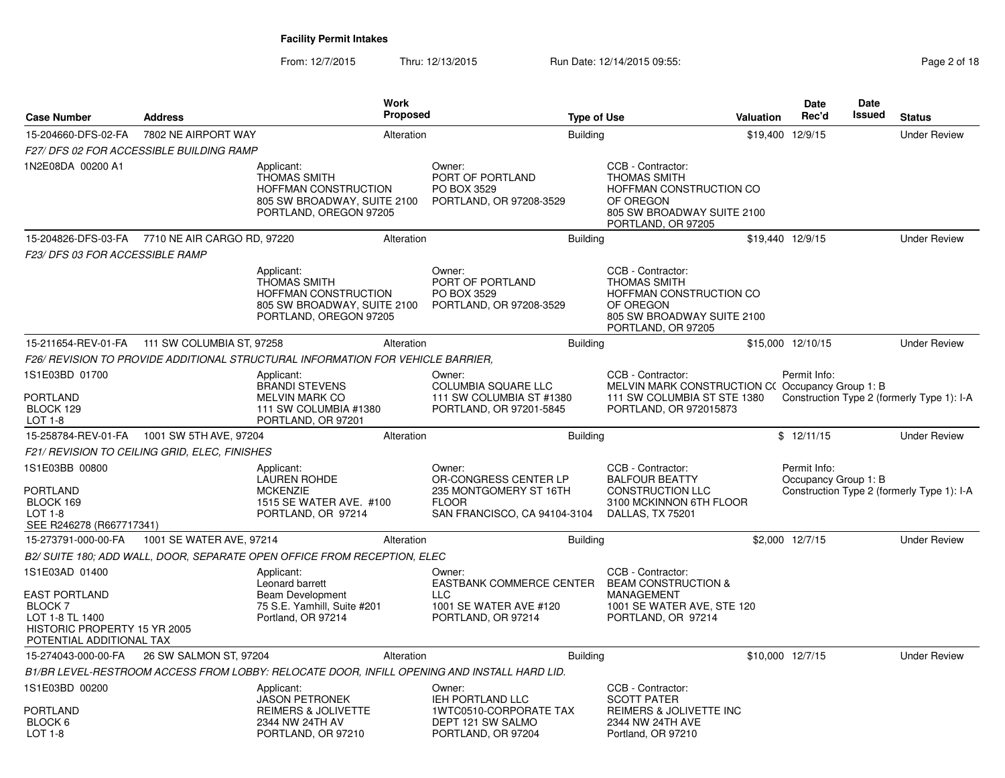From: 12/7/2015Thru: 12/13/2015 Run Date: 12/14/2015 09:55:<br>
Page 2 of 18

| <b>Case Number</b>                                                                                                   | <b>Address</b>                                  |                                                                                                                           | Work<br><b>Proposed</b> |                                                                                                           | <b>Type of Use</b> |                                                                                                                                      | Valuation | Date<br>Rec'd                        | Date<br><b>Issued</b> | <b>Status</b>                              |
|----------------------------------------------------------------------------------------------------------------------|-------------------------------------------------|---------------------------------------------------------------------------------------------------------------------------|-------------------------|-----------------------------------------------------------------------------------------------------------|--------------------|--------------------------------------------------------------------------------------------------------------------------------------|-----------|--------------------------------------|-----------------------|--------------------------------------------|
| 15-204660-DFS-02-FA                                                                                                  | 7802 NE AIRPORT WAY                             |                                                                                                                           | Alteration              |                                                                                                           | <b>Building</b>    |                                                                                                                                      |           | \$19,400 12/9/15                     |                       | <b>Under Review</b>                        |
|                                                                                                                      | <b>F27/ DFS 02 FOR ACCESSIBLE BUILDING RAMP</b> |                                                                                                                           |                         |                                                                                                           |                    |                                                                                                                                      |           |                                      |                       |                                            |
| 1N2E08DA 00200 A1                                                                                                    |                                                 | Applicant:<br><b>THOMAS SMITH</b><br><b>HOFFMAN CONSTRUCTION</b><br>805 SW BROADWAY, SUITE 2100<br>PORTLAND, OREGON 97205 |                         | Owner:<br>PORT OF PORTLAND<br>PO BOX 3529<br>PORTLAND, OR 97208-3529                                      |                    | CCB - Contractor:<br><b>THOMAS SMITH</b><br>HOFFMAN CONSTRUCTION CO<br>OF OREGON<br>805 SW BROADWAY SUITE 2100<br>PORTLAND, OR 97205 |           |                                      |                       |                                            |
|                                                                                                                      | 15-204826-DFS-03-FA 7710 NE AIR CARGO RD, 97220 |                                                                                                                           | Alteration              |                                                                                                           | <b>Building</b>    |                                                                                                                                      |           | \$19,440 12/9/15                     |                       | <b>Under Review</b>                        |
| F23/DFS 03 FOR ACCESSIBLE RAMP                                                                                       |                                                 |                                                                                                                           |                         |                                                                                                           |                    |                                                                                                                                      |           |                                      |                       |                                            |
|                                                                                                                      |                                                 | Applicant:<br><b>THOMAS SMITH</b><br>HOFFMAN CONSTRUCTION<br>805 SW BROADWAY, SUITE 2100<br>PORTLAND, OREGON 97205        |                         | Owner:<br>PORT OF PORTLAND<br>PO BOX 3529<br>PORTLAND, OR 97208-3529                                      |                    | CCB - Contractor:<br><b>THOMAS SMITH</b><br>HOFFMAN CONSTRUCTION CO<br>OF OREGON<br>805 SW BROADWAY SUITE 2100<br>PORTLAND, OR 97205 |           |                                      |                       |                                            |
|                                                                                                                      | 15-211654-REV-01-FA 111 SW COLUMBIA ST, 97258   |                                                                                                                           | Alteration              |                                                                                                           | <b>Building</b>    |                                                                                                                                      |           | \$15,000 12/10/15                    |                       | <b>Under Review</b>                        |
|                                                                                                                      |                                                 | F26/ REVISION TO PROVIDE ADDITIONAL STRUCTURAL INFORMATION FOR VEHICLE BARRIER,                                           |                         |                                                                                                           |                    |                                                                                                                                      |           |                                      |                       |                                            |
| 1S1E03BD 01700                                                                                                       |                                                 | Applicant:<br><b>BRANDI STEVENS</b>                                                                                       |                         | Owner:<br>COLUMBIA SQUARE LLC                                                                             |                    | CCB - Contractor:<br>MELVIN MARK CONSTRUCTION C(Occupancy Group 1: B                                                                 |           | Permit Info:                         |                       |                                            |
| <b>PORTLAND</b><br>BLOCK 129<br>LOT 1-8                                                                              |                                                 | <b>MELVIN MARK CO</b><br>111 SW COLUMBIA #1380<br>PORTLAND, OR 97201                                                      |                         | 111 SW COLUMBIA ST #1380<br>PORTLAND, OR 97201-5845                                                       |                    | 111 SW COLUMBIA ST STE 1380<br>PORTLAND, OR 972015873                                                                                |           |                                      |                       | Construction Type 2 (formerly Type 1): I-A |
|                                                                                                                      | 15-258784-REV-01-FA   1001 SW 5TH AVE, 97204    |                                                                                                                           | Alteration              |                                                                                                           | <b>Building</b>    |                                                                                                                                      |           | \$12/11/15                           |                       | <b>Under Review</b>                        |
|                                                                                                                      | F21/ REVISION TO CEILING GRID, ELEC, FINISHES   |                                                                                                                           |                         |                                                                                                           |                    |                                                                                                                                      |           |                                      |                       |                                            |
| 1S1E03BB 00800<br><b>PORTLAND</b><br>BLOCK 169<br><b>LOT 1-8</b><br>SEE R246278 (R667717341)                         |                                                 | Applicant:<br>LAUREN ROHDE<br><b>MCKENZIE</b><br>1515 SE WATER AVE. #100<br>PORTLAND, OR 97214                            |                         | Owner:<br>OR-CONGRESS CENTER LP<br>235 MONTGOMERY ST 16TH<br><b>FLOOR</b><br>SAN FRANCISCO, CA 94104-3104 |                    | CCB - Contractor:<br><b>BALFOUR BEATTY</b><br><b>CONSTRUCTION LLC</b><br>3100 MCKINNON 6TH FLOOR<br>DALLAS, TX 75201                 |           | Permit Info:<br>Occupancy Group 1: B |                       | Construction Type 2 (formerly Type 1): I-A |
| 15-273791-000-00-FA                                                                                                  | 1001 SE WATER AVE, 97214                        |                                                                                                                           | Alteration              |                                                                                                           | <b>Building</b>    |                                                                                                                                      |           | \$2,000 12/7/15                      |                       | <b>Under Review</b>                        |
|                                                                                                                      |                                                 | B2/ SUITE 180; ADD WALL, DOOR, SEPARATE OPEN OFFICE FROM RECEPTION, ELEC                                                  |                         |                                                                                                           |                    |                                                                                                                                      |           |                                      |                       |                                            |
| 1S1E03AD 01400                                                                                                       |                                                 | Applicant:<br>Leonard barrett                                                                                             |                         | Owner:<br>EASTBANK COMMERCE CENTER                                                                        |                    | CCB - Contractor:<br><b>BEAM CONSTRUCTION &amp;</b>                                                                                  |           |                                      |                       |                                            |
| <b>EAST PORTLAND</b><br><b>BLOCK7</b><br>LOT 1-8 TL 1400<br>HISTORIC PROPERTY 15 YR 2005<br>POTENTIAL ADDITIONAL TAX |                                                 | Beam Development<br>75 S.E. Yamhill, Suite #201<br>Portland, OR 97214                                                     |                         | <b>LLC</b><br>1001 SE WATER AVE #120<br>PORTLAND, OR 97214                                                |                    | MANAGEMENT<br>1001 SE WATER AVE, STE 120<br>PORTLAND, OR 97214                                                                       |           |                                      |                       |                                            |
| 15-274043-000-00-FA                                                                                                  | 26 SW SALMON ST, 97204                          |                                                                                                                           | Alteration              |                                                                                                           | <b>Building</b>    |                                                                                                                                      |           | \$10,000 12/7/15                     |                       | <b>Under Review</b>                        |
|                                                                                                                      |                                                 |                                                                                                                           |                         | B1/BR LEVEL-RESTROOM ACCESS FROM LOBBY: RELOCATE DOOR, INFILL OPENING AND INSTALL HARD LID.               |                    |                                                                                                                                      |           |                                      |                       |                                            |
| 1S1E03BD 00200<br>PORTLAND                                                                                           |                                                 | Applicant:<br><b>JASON PETRONEK</b><br>REIMERS & JOLIVETTE                                                                |                         | Owner:<br><b>IEH PORTLAND LLC</b><br>1WTC0510-CORPORATE TAX                                               |                    | CCB - Contractor:<br><b>SCOTT PATER</b><br>REIMERS & JOLIVETTE INC                                                                   |           |                                      |                       |                                            |
| BLOCK <sub>6</sub><br>LOT 1-8                                                                                        |                                                 | 2344 NW 24TH AV<br>PORTLAND, OR 97210                                                                                     |                         | DEPT 121 SW SALMO<br>PORTLAND, OR 97204                                                                   |                    | 2344 NW 24TH AVE<br>Portland, OR 97210                                                                                               |           |                                      |                       |                                            |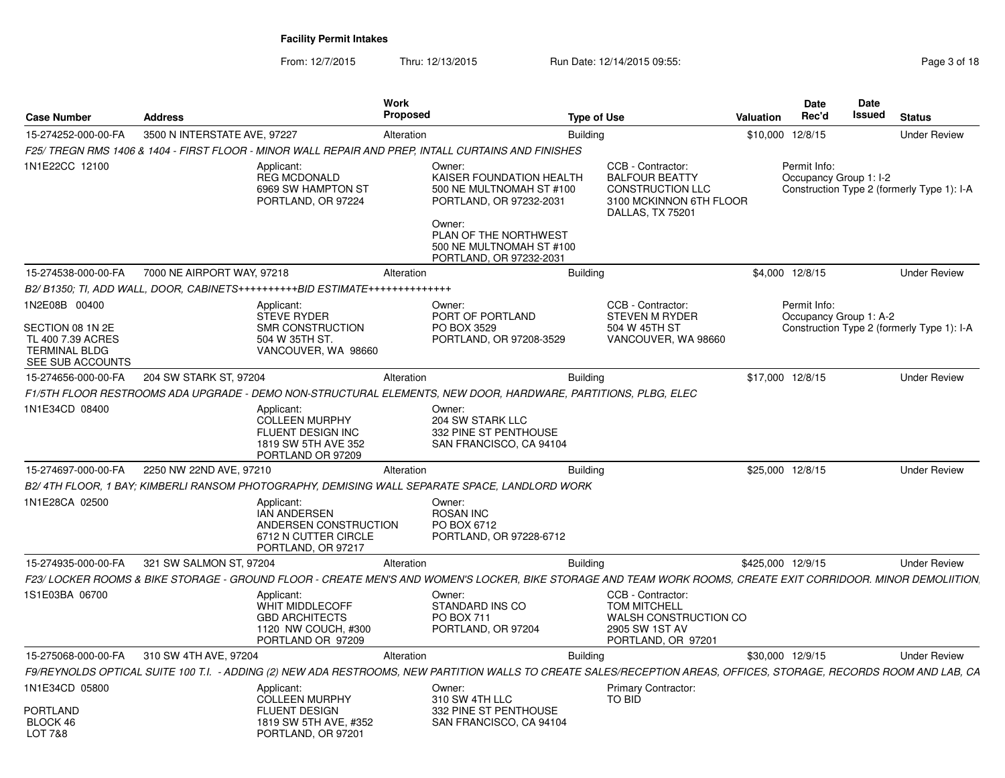From: 12/7/2015Thru: 12/13/2015 Run Date: 12/14/2015 09:55:<br>
Page 3 of 18

| <b>Case Number</b>                                                                                 | <b>Address</b>               |                                                                                                           | Work<br>Proposed |                                                                                                                                                                                     | <b>Type of Use</b> |                                                                                                                      | Valuation         | <b>Date</b><br>Rec'd | <b>Date</b><br><b>Issued</b> | <b>Status</b>                              |  |
|----------------------------------------------------------------------------------------------------|------------------------------|-----------------------------------------------------------------------------------------------------------|------------------|-------------------------------------------------------------------------------------------------------------------------------------------------------------------------------------|--------------------|----------------------------------------------------------------------------------------------------------------------|-------------------|----------------------|------------------------------|--------------------------------------------|--|
| 15-274252-000-00-FA                                                                                | 3500 N INTERSTATE AVE, 97227 |                                                                                                           | Alteration       |                                                                                                                                                                                     | <b>Building</b>    |                                                                                                                      | \$10,000 12/8/15  |                      |                              | <b>Under Review</b>                        |  |
|                                                                                                    |                              |                                                                                                           |                  | F25/ TREGN RMS 1406 & 1404 - FIRST FLOOR - MINOR WALL REPAIR AND PREP, INTALL CURTAINS AND FINISHES                                                                                 |                    |                                                                                                                      |                   |                      |                              |                                            |  |
| 1N1E22CC 12100                                                                                     |                              | Applicant:<br><b>REG MCDONALD</b><br>6969 SW HAMPTON ST<br>PORTLAND, OR 97224                             |                  | Owner:<br>KAISER FOUNDATION HEALTH<br>500 NE MULTNOMAH ST #100<br>PORTLAND, OR 97232-2031<br>Owner:<br>PLAN OF THE NORTHWEST<br>500 NE MULTNOMAH ST #100<br>PORTLAND, OR 97232-2031 |                    | CCB - Contractor:<br><b>BALFOUR BEATTY</b><br><b>CONSTRUCTION LLC</b><br>3100 MCKINNON 6TH FLOOR<br>DALLAS, TX 75201 |                   | Permit Info:         | Occupancy Group 1: I-2       | Construction Type 2 (formerly Type 1): I-A |  |
| 15-274538-000-00-FA                                                                                | 7000 NE AIRPORT WAY, 97218   |                                                                                                           | Alteration       |                                                                                                                                                                                     | <b>Building</b>    |                                                                                                                      |                   | \$4,000 12/8/15      |                              | <b>Under Review</b>                        |  |
|                                                                                                    |                              | B2/B1350: TI, ADD WALL, DOOR, CABINETS++++++++++BID ESTIMATE+++++++++++++++                               |                  |                                                                                                                                                                                     |                    |                                                                                                                      |                   |                      |                              |                                            |  |
| 1N2E08B 00400<br>SECTION 08 1N 2E<br>TL 400 7.39 ACRES<br><b>TERMINAL BLDG</b><br>SEE SUB ACCOUNTS |                              | Applicant:<br><b>STEVE RYDER</b><br>SMR CONSTRUCTION<br>504 W 35TH ST.<br>VANCOUVER, WA 98660             |                  | Owner:<br>PORT OF PORTLAND<br>PO BOX 3529<br>PORTLAND, OR 97208-3529                                                                                                                |                    | CCB - Contractor:<br><b>STEVEN M RYDER</b><br>504 W 45TH ST<br>VANCOUVER, WA 98660                                   |                   | Permit Info:         | Occupancy Group 1: A-2       | Construction Type 2 (formerly Type 1): I-A |  |
| 15-274656-000-00-FA                                                                                | 204 SW STARK ST, 97204       |                                                                                                           | Alteration       |                                                                                                                                                                                     | <b>Building</b>    |                                                                                                                      | \$17,000 12/8/15  |                      |                              | <b>Under Review</b>                        |  |
|                                                                                                    |                              |                                                                                                           |                  | F1/5TH FLOOR RESTROOMS ADA UPGRADE - DEMO NON-STRUCTURAL ELEMENTS. NEW DOOR. HARDWARE. PARTITIONS. PLBG. ELEC                                                                       |                    |                                                                                                                      |                   |                      |                              |                                            |  |
| 1N1E34CD 08400                                                                                     |                              | Applicant:<br><b>COLLEEN MURPHY</b><br>FLUENT DESIGN INC<br>1819 SW 5TH AVE 352<br>PORTLAND OR 97209      |                  | Owner:<br>204 SW STARK LLC<br>332 PINE ST PENTHOUSE<br>SAN FRANCISCO, CA 94104                                                                                                      |                    |                                                                                                                      |                   |                      |                              |                                            |  |
| 15-274697-000-00-FA                                                                                | 2250 NW 22ND AVE, 97210      |                                                                                                           | Alteration       |                                                                                                                                                                                     | <b>Building</b>    |                                                                                                                      | \$25,000 12/8/15  |                      |                              | <b>Under Review</b>                        |  |
|                                                                                                    |                              |                                                                                                           |                  | B2/4TH FLOOR, 1 BAY; KIMBERLI RANSOM PHOTOGRAPHY, DEMISING WALL SEPARATE SPACE, LANDLORD WORK                                                                                       |                    |                                                                                                                      |                   |                      |                              |                                            |  |
| 1N1E28CA 02500                                                                                     |                              | Applicant:<br><b>IAN ANDERSEN</b><br>ANDERSEN CONSTRUCTION<br>6712 N CUTTER CIRCLE<br>PORTLAND, OR 97217  |                  | Owner:<br><b>ROSAN INC</b><br>PO BOX 6712<br>PORTLAND, OR 97228-6712                                                                                                                |                    |                                                                                                                      |                   |                      |                              |                                            |  |
| 15-274935-000-00-FA                                                                                | 321 SW SALMON ST, 97204      |                                                                                                           | Alteration       |                                                                                                                                                                                     | <b>Building</b>    |                                                                                                                      | \$425,000 12/9/15 |                      |                              | <b>Under Review</b>                        |  |
|                                                                                                    |                              |                                                                                                           |                  | F23/ LOCKER ROOMS & BIKE STORAGE - GROUND FLOOR - CREATE MEN'S AND WOMEN'S LOCKER. BIKE STORAGE AND TEAM WORK ROOMS. CREATE EXIT CORRIDOOR. MINOR DEMOLIITION.                      |                    |                                                                                                                      |                   |                      |                              |                                            |  |
| 1S1E03BA 06700                                                                                     |                              | Applicant:<br><b>WHIT MIDDLECOFF</b><br><b>GBD ARCHITECTS</b><br>1120 NW COUCH, #300<br>PORTLAND OR 97209 |                  | Owner:<br>STANDARD INS CO<br>PO BOX 711<br>PORTLAND, OR 97204                                                                                                                       |                    | CCB - Contractor:<br><b>TOM MITCHELL</b><br>WALSH CONSTRUCTION CO<br>2905 SW 1ST AV<br>PORTLAND, OR 97201            |                   |                      |                              |                                            |  |
| 15-275068-000-00-FA                                                                                | 310 SW 4TH AVE, 97204        |                                                                                                           | Alteration       |                                                                                                                                                                                     | <b>Building</b>    |                                                                                                                      | \$30,000 12/9/15  |                      |                              | <b>Under Review</b>                        |  |
|                                                                                                    |                              |                                                                                                           |                  | F9/REYNOLDS OPTICAL SUITE 100 T.I. - ADDING (2) NEW ADA RESTROOMS, NEW PARTITION WALLS TO CREATE SALES/RECEPTION AREAS, OFFICES, STORAGE, RECORDS ROOM AND LAB, CA                  |                    |                                                                                                                      |                   |                      |                              |                                            |  |
| 1N1E34CD 05800                                                                                     |                              | Applicant:<br><b>COLLEEN MURPHY</b>                                                                       |                  | Owner:<br>310 SW 4TH LLC                                                                                                                                                            |                    | <b>Primary Contractor:</b><br>TO BID                                                                                 |                   |                      |                              |                                            |  |
| <b>PORTLAND</b><br>BLOCK 46<br><b>LOT 7&amp;8</b>                                                  |                              | <b>FLUENT DESIGN</b><br>1819 SW 5TH AVE, #352<br>PORTLAND, OR 97201                                       |                  | 332 PINE ST PENTHOUSE<br>SAN FRANCISCO, CA 94104                                                                                                                                    |                    |                                                                                                                      |                   |                      |                              |                                            |  |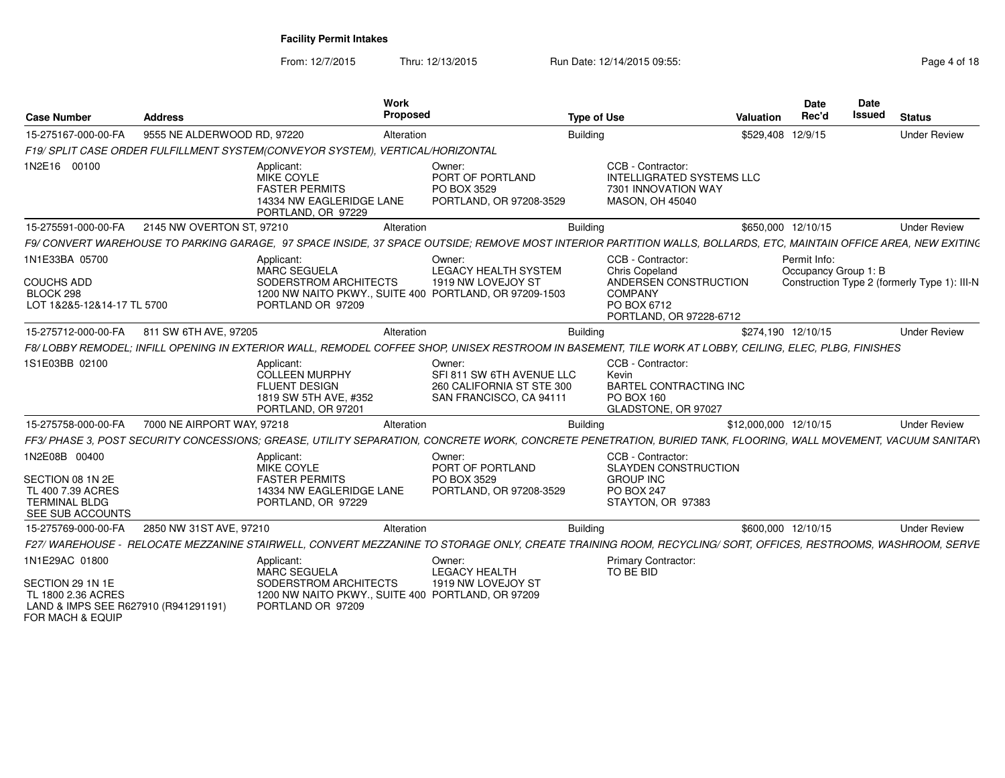From: 12/7/2015Thru: 12/13/2015 Run Date: 12/14/2015 09:55:<br>
Page 4 of 18

| <b>Case Number</b>                                                                                                   | <b>Address</b>              | Work                                                                                                       | Proposed                                                                                                                                                           | <b>Type of Use</b>                                                                                                              | Valuation             | <b>Date</b><br>Rec'd                 | <b>Date</b><br><b>Issued</b> | <b>Status</b>                                |
|----------------------------------------------------------------------------------------------------------------------|-----------------------------|------------------------------------------------------------------------------------------------------------|--------------------------------------------------------------------------------------------------------------------------------------------------------------------|---------------------------------------------------------------------------------------------------------------------------------|-----------------------|--------------------------------------|------------------------------|----------------------------------------------|
| 15-275167-000-00-FA                                                                                                  | 9555 NE ALDERWOOD RD, 97220 |                                                                                                            | Alteration                                                                                                                                                         | <b>Building</b>                                                                                                                 |                       | \$529,408 12/9/15                    |                              | <b>Under Review</b>                          |
|                                                                                                                      |                             | F19/ SPLIT CASE ORDER FULFILLMENT SYSTEM(CONVEYOR SYSTEM), VERTICAL/HORIZONTAL                             |                                                                                                                                                                    |                                                                                                                                 |                       |                                      |                              |                                              |
| 1N2E16 00100                                                                                                         |                             | Applicant:<br>MIKE COYLE<br><b>FASTER PERMITS</b><br>14334 NW EAGLERIDGE LANE<br>PORTLAND, OR 97229        | Owner:<br>PORT OF PORTLAND<br>PO BOX 3529<br>PORTLAND, OR 97208-3529                                                                                               | CCB - Contractor:<br><b>INTELLIGRATED SYSTEMS LLC</b><br>7301 INNOVATION WAY<br><b>MASON, OH 45040</b>                          |                       |                                      |                              |                                              |
| 15-275591-000-00-FA                                                                                                  | 2145 NW OVERTON ST, 97210   |                                                                                                            | Alteration                                                                                                                                                         | <b>Building</b>                                                                                                                 |                       | \$650,000 12/10/15                   |                              | <b>Under Review</b>                          |
|                                                                                                                      |                             |                                                                                                            | F9/ CONVERT WAREHOUSE TO PARKING GARAGE. 97 SPACE INSIDE. 37 SPACE OUTSIDE: REMOVE MOST INTERIOR PARTITION WALLS. BOLLARDS. ETC. MAINTAIN OFFICE AREA. NEW EXITING |                                                                                                                                 |                       |                                      |                              |                                              |
| 1N1E33BA 05700<br><b>COUCHS ADD</b><br>BLOCK 298<br>LOT 1&2&5-12&14-17 TL 5700                                       |                             | Applicant:<br>MARC SEGUELA<br>SODERSTROM ARCHITECTS<br>PORTLAND OR 97209                                   | Owner:<br><b>LEGACY HEALTH SYSTEM</b><br>1919 NW LOVEJOY ST<br>1200 NW NAITO PKWY., SUITE 400 PORTLAND, OR 97209-1503                                              | CCB - Contractor:<br><b>Chris Copeland</b><br>ANDERSEN CONSTRUCTION<br><b>COMPANY</b><br>PO BOX 6712<br>PORTLAND, OR 97228-6712 |                       | Permit Info:<br>Occupancy Group 1: B |                              | Construction Type 2 (formerly Type 1): III-N |
| 15-275712-000-00-FA                                                                                                  | 811 SW 6TH AVE, 97205       |                                                                                                            | Alteration                                                                                                                                                         | Building                                                                                                                        |                       | \$274.190 12/10/15                   |                              | <b>Under Review</b>                          |
|                                                                                                                      |                             |                                                                                                            | F8/LOBBY REMODEL: INFILL OPENING IN EXTERIOR WALL. REMODEL COFFEE SHOP. UNISEX RESTROOM IN BASEMENT. TILE WORK AT LOBBY, CEILING. ELEC. PLBG. FINISHES             |                                                                                                                                 |                       |                                      |                              |                                              |
| 1S1E03BB 02100                                                                                                       |                             | Applicant:<br><b>COLLEEN MURPHY</b><br><b>FLUENT DESIGN</b><br>1819 SW 5TH AVE, #352<br>PORTLAND, OR 97201 | Owner:<br>SFI 811 SW 6TH AVENUE LLC<br>260 CALIFORNIA ST STE 300<br>SAN FRANCISCO, CA 94111                                                                        | CCB - Contractor:<br>Kevin<br><b>BARTEL CONTRACTING INC</b><br>PO BOX 160<br>GLADSTONE, OR 97027                                |                       |                                      |                              |                                              |
| 15-275758-000-00-FA                                                                                                  | 7000 NE AIRPORT WAY, 97218  |                                                                                                            | Alteration                                                                                                                                                         | Building                                                                                                                        | \$12,000,000 12/10/15 |                                      |                              | <b>Under Review</b>                          |
|                                                                                                                      |                             |                                                                                                            | FF3/ PHASE 3. POST SECURITY CONCESSIONS: GREASE. UTILITY SEPARATION. CONCRETE WORK. CONCRETE PENETRATION. BURIED TANK. FLOORING. WALL MOVEMENT. VACUUM SANITARY    |                                                                                                                                 |                       |                                      |                              |                                              |
| 1N2E08B 00400<br>SECTION 08 1N 2E<br>TL 400 7.39 ACRES<br><b>TERMINAL BLDG</b><br>SEE SUB ACCOUNTS                   |                             | Applicant:<br>MIKE COYLE<br><b>FASTER PERMITS</b><br>14334 NW EAGLERIDGE LANE<br>PORTLAND, OR 97229        | Owner:<br>PORT OF PORTLAND<br>PO BOX 3529<br>PORTLAND, OR 97208-3529                                                                                               | CCB - Contractor:<br>SLAYDEN CONSTRUCTION<br><b>GROUP INC</b><br><b>PO BOX 247</b><br>STAYTON, OR 97383                         |                       |                                      |                              |                                              |
| 15-275769-000-00-FA                                                                                                  | 2850 NW 31ST AVE, 97210     |                                                                                                            | Alteration                                                                                                                                                         | <b>Building</b>                                                                                                                 |                       | \$600,000 12/10/15                   |                              | <b>Under Review</b>                          |
|                                                                                                                      |                             |                                                                                                            | F27/ WAREHOUSE - RELOCATE MEZZANINE STAIRWELL. CONVERT MEZZANINE TO STORAGE ONLY. CREATE TRAINING ROOM. RECYCLING/ SORT. OFFICES. RESTROOMS. WASHROOM. SERVE       |                                                                                                                                 |                       |                                      |                              |                                              |
| 1N1E29AC 01800<br>SECTION 29 1N 1E<br>TL 1800 2.36 ACRES<br>LAND & IMPS SEE R627910 (R941291191)<br>FOR MACH & EQUIP |                             | Applicant:<br><b>MARC SEGUELA</b><br>SODERSTROM ARCHITECTS<br>PORTLAND OR 97209                            | Owner:<br><b>LEGACY HEALTH</b><br>1919 NW LOVEJOY ST<br>1200 NW NAITO PKWY., SUITE 400 PORTLAND, OR 97209                                                          | <b>Primary Contractor:</b><br>TO BE BID                                                                                         |                       |                                      |                              |                                              |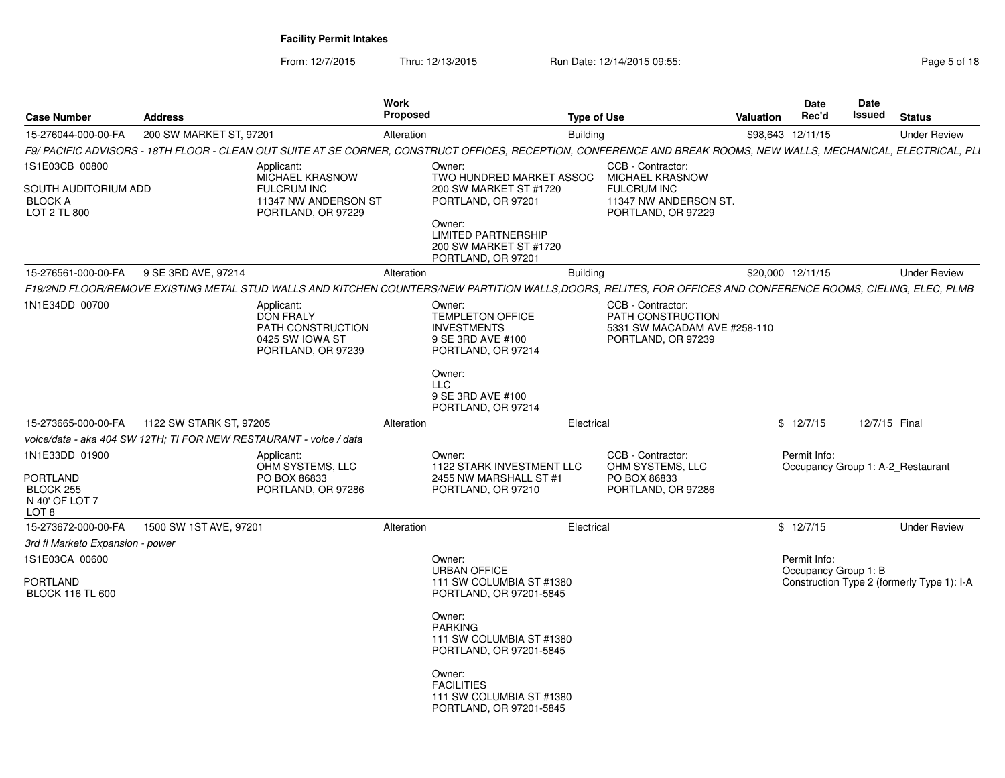From: 12/7/2015Thru: 12/13/2015 Run Date: 12/14/2015 09:55:<br>
Page 5 of 18

| 200 SW MARKET ST, 97201<br>15-276044-000-00-FA<br>Alteration<br><b>Building</b><br>\$98,643 12/11/15<br>F9/ PACIFIC ADVISORS - 18TH FLOOR - CLEAN OUT SUITE AT SE CORNER, CONSTRUCT OFFICES, RECEPTION, CONFERENCE AND BREAK ROOMS, NEW WALLS, MECHANICAL, ELECTRICAL, PLI<br>1S1E03CB 00800<br>CCB - Contractor:<br>Applicant:<br>Owner:<br>MICHAEL KRASNOW<br>MICHAEL KRASNOW<br>TWO HUNDRED MARKET ASSOC<br><b>FULCRUM INC</b><br>SOUTH AUDITORIUM ADD<br>200 SW MARKET ST #1720<br><b>FULCRUM INC</b><br><b>BLOCK A</b><br>11347 NW ANDERSON ST<br>PORTLAND, OR 97201<br>11347 NW ANDERSON ST.<br><b>LOT 2 TL 800</b><br>PORTLAND, OR 97229<br>PORTLAND, OR 97229<br>Owner:<br><b>LIMITED PARTNERSHIP</b><br>200 SW MARKET ST #1720<br>PORTLAND, OR 97201<br>9 SE 3RD AVE, 97214<br>15-276561-000-00-FA<br>Alteration<br><b>Building</b><br>\$20,000 12/11/15<br>F19/2ND FLOOR/REMOVE EXISTING METAL STUD WALLS AND KITCHEN COUNTERS/NEW PARTITION WALLS,DOORS, RELITES, FOR OFFICES AND CONFERENCE ROOMS, CIELING, ELEC, PLMB<br>1N1E34DD 00700<br>CCB - Contractor:<br>Applicant:<br>Owner:<br><b>DON FRALY</b><br>TEMPLETON OFFICE<br><b>PATH CONSTRUCTION</b><br>PATH CONSTRUCTION<br><b>INVESTMENTS</b><br>5331 SW MACADAM AVE #258-110<br>0425 SW IOWA ST<br>9 SE 3RD AVE #100<br>PORTLAND, OR 97239<br>PORTLAND, OR 97239<br>PORTLAND, OR 97214<br>Owner:<br><b>LLC</b><br>9 SE 3RD AVE #100<br>PORTLAND, OR 97214<br>\$12/7/15<br>12/7/15 Final<br>15-273665-000-00-FA<br>1122 SW STARK ST, 97205<br>Electrical<br>Alteration<br>voice/data - aka 404 SW 12TH; TI FOR NEW RESTAURANT - voice / data<br>1N1E33DD 01900<br>Owner:<br>CCB - Contractor:<br>Permit Info:<br>Applicant:<br>OHM SYSTEMS, LLC<br>1122 STARK INVESTMENT LLC<br>OHM SYSTEMS, LLC<br>Occupancy Group 1: A-2 Restaurant<br>PO BOX 86833<br>PO BOX 86833<br>2455 NW MARSHALL ST #1<br>BLOCK 255<br>PORTLAND, OR 97286<br>PORTLAND, OR 97210<br>PORTLAND, OR 97286<br>N 40' OF LOT 7<br>LOT 8<br>1500 SW 1ST AVE, 97201<br>\$12/7/15<br>15-273672-000-00-FA<br>Alteration<br>Electrical<br>3rd fl Marketo Expansion - power<br>1S1E03CA 00600<br>Permit Info:<br>Owner:<br><b>URBAN OFFICE</b><br>Occupancy Group 1: B<br>PORTLAND<br>111 SW COLUMBIA ST #1380<br>Construction Type 2 (formerly Type 1): I-A<br><b>BLOCK 116 TL 600</b><br>PORTLAND, OR 97201-5845<br>Owner:<br><b>PARKING</b><br>111 SW COLUMBIA ST #1380<br>PORTLAND, OR 97201-5845<br>Owner:<br><b>FACILITIES</b><br>111 SW COLUMBIA ST #1380<br>PORTLAND, OR 97201-5845 | <b>Case Number</b> | <b>Address</b> | Work<br><b>Proposed</b> | <b>Type of Use</b> | Valuation | <b>Date</b><br>Rec'd | Date<br>Issued | <b>Status</b>       |
|----------------------------------------------------------------------------------------------------------------------------------------------------------------------------------------------------------------------------------------------------------------------------------------------------------------------------------------------------------------------------------------------------------------------------------------------------------------------------------------------------------------------------------------------------------------------------------------------------------------------------------------------------------------------------------------------------------------------------------------------------------------------------------------------------------------------------------------------------------------------------------------------------------------------------------------------------------------------------------------------------------------------------------------------------------------------------------------------------------------------------------------------------------------------------------------------------------------------------------------------------------------------------------------------------------------------------------------------------------------------------------------------------------------------------------------------------------------------------------------------------------------------------------------------------------------------------------------------------------------------------------------------------------------------------------------------------------------------------------------------------------------------------------------------------------------------------------------------------------------------------------------------------------------------------------------------------------------------------------------------------------------------------------------------------------------------------------------------------------------------------------------------------------------------------------------------------------------------------------------------------------------------------------------------------------------------------------------------------------------------------------------------------------------------------------------------------------------------------------------------------------------------------|--------------------|----------------|-------------------------|--------------------|-----------|----------------------|----------------|---------------------|
|                                                                                                                                                                                                                                                                                                                                                                                                                                                                                                                                                                                                                                                                                                                                                                                                                                                                                                                                                                                                                                                                                                                                                                                                                                                                                                                                                                                                                                                                                                                                                                                                                                                                                                                                                                                                                                                                                                                                                                                                                                                                                                                                                                                                                                                                                                                                                                                                                                                                                                                            |                    |                |                         |                    |           |                      |                | <b>Under Review</b> |
|                                                                                                                                                                                                                                                                                                                                                                                                                                                                                                                                                                                                                                                                                                                                                                                                                                                                                                                                                                                                                                                                                                                                                                                                                                                                                                                                                                                                                                                                                                                                                                                                                                                                                                                                                                                                                                                                                                                                                                                                                                                                                                                                                                                                                                                                                                                                                                                                                                                                                                                            |                    |                |                         |                    |           |                      |                |                     |
|                                                                                                                                                                                                                                                                                                                                                                                                                                                                                                                                                                                                                                                                                                                                                                                                                                                                                                                                                                                                                                                                                                                                                                                                                                                                                                                                                                                                                                                                                                                                                                                                                                                                                                                                                                                                                                                                                                                                                                                                                                                                                                                                                                                                                                                                                                                                                                                                                                                                                                                            |                    |                |                         |                    |           |                      |                |                     |
|                                                                                                                                                                                                                                                                                                                                                                                                                                                                                                                                                                                                                                                                                                                                                                                                                                                                                                                                                                                                                                                                                                                                                                                                                                                                                                                                                                                                                                                                                                                                                                                                                                                                                                                                                                                                                                                                                                                                                                                                                                                                                                                                                                                                                                                                                                                                                                                                                                                                                                                            |                    |                |                         |                    |           |                      |                |                     |
|                                                                                                                                                                                                                                                                                                                                                                                                                                                                                                                                                                                                                                                                                                                                                                                                                                                                                                                                                                                                                                                                                                                                                                                                                                                                                                                                                                                                                                                                                                                                                                                                                                                                                                                                                                                                                                                                                                                                                                                                                                                                                                                                                                                                                                                                                                                                                                                                                                                                                                                            |                    |                |                         |                    |           |                      |                |                     |
|                                                                                                                                                                                                                                                                                                                                                                                                                                                                                                                                                                                                                                                                                                                                                                                                                                                                                                                                                                                                                                                                                                                                                                                                                                                                                                                                                                                                                                                                                                                                                                                                                                                                                                                                                                                                                                                                                                                                                                                                                                                                                                                                                                                                                                                                                                                                                                                                                                                                                                                            |                    |                |                         |                    |           |                      |                | <b>Under Review</b> |
| PORTLAND                                                                                                                                                                                                                                                                                                                                                                                                                                                                                                                                                                                                                                                                                                                                                                                                                                                                                                                                                                                                                                                                                                                                                                                                                                                                                                                                                                                                                                                                                                                                                                                                                                                                                                                                                                                                                                                                                                                                                                                                                                                                                                                                                                                                                                                                                                                                                                                                                                                                                                                   |                    |                |                         |                    |           |                      |                |                     |
|                                                                                                                                                                                                                                                                                                                                                                                                                                                                                                                                                                                                                                                                                                                                                                                                                                                                                                                                                                                                                                                                                                                                                                                                                                                                                                                                                                                                                                                                                                                                                                                                                                                                                                                                                                                                                                                                                                                                                                                                                                                                                                                                                                                                                                                                                                                                                                                                                                                                                                                            |                    |                |                         |                    |           |                      |                |                     |
|                                                                                                                                                                                                                                                                                                                                                                                                                                                                                                                                                                                                                                                                                                                                                                                                                                                                                                                                                                                                                                                                                                                                                                                                                                                                                                                                                                                                                                                                                                                                                                                                                                                                                                                                                                                                                                                                                                                                                                                                                                                                                                                                                                                                                                                                                                                                                                                                                                                                                                                            |                    |                |                         |                    |           |                      |                |                     |
|                                                                                                                                                                                                                                                                                                                                                                                                                                                                                                                                                                                                                                                                                                                                                                                                                                                                                                                                                                                                                                                                                                                                                                                                                                                                                                                                                                                                                                                                                                                                                                                                                                                                                                                                                                                                                                                                                                                                                                                                                                                                                                                                                                                                                                                                                                                                                                                                                                                                                                                            |                    |                |                         |                    |           |                      |                |                     |
|                                                                                                                                                                                                                                                                                                                                                                                                                                                                                                                                                                                                                                                                                                                                                                                                                                                                                                                                                                                                                                                                                                                                                                                                                                                                                                                                                                                                                                                                                                                                                                                                                                                                                                                                                                                                                                                                                                                                                                                                                                                                                                                                                                                                                                                                                                                                                                                                                                                                                                                            |                    |                |                         |                    |           |                      |                |                     |
|                                                                                                                                                                                                                                                                                                                                                                                                                                                                                                                                                                                                                                                                                                                                                                                                                                                                                                                                                                                                                                                                                                                                                                                                                                                                                                                                                                                                                                                                                                                                                                                                                                                                                                                                                                                                                                                                                                                                                                                                                                                                                                                                                                                                                                                                                                                                                                                                                                                                                                                            |                    |                |                         |                    |           |                      |                |                     |
|                                                                                                                                                                                                                                                                                                                                                                                                                                                                                                                                                                                                                                                                                                                                                                                                                                                                                                                                                                                                                                                                                                                                                                                                                                                                                                                                                                                                                                                                                                                                                                                                                                                                                                                                                                                                                                                                                                                                                                                                                                                                                                                                                                                                                                                                                                                                                                                                                                                                                                                            |                    |                |                         |                    |           |                      |                |                     |
|                                                                                                                                                                                                                                                                                                                                                                                                                                                                                                                                                                                                                                                                                                                                                                                                                                                                                                                                                                                                                                                                                                                                                                                                                                                                                                                                                                                                                                                                                                                                                                                                                                                                                                                                                                                                                                                                                                                                                                                                                                                                                                                                                                                                                                                                                                                                                                                                                                                                                                                            |                    |                |                         |                    |           |                      |                | <b>Under Review</b> |
|                                                                                                                                                                                                                                                                                                                                                                                                                                                                                                                                                                                                                                                                                                                                                                                                                                                                                                                                                                                                                                                                                                                                                                                                                                                                                                                                                                                                                                                                                                                                                                                                                                                                                                                                                                                                                                                                                                                                                                                                                                                                                                                                                                                                                                                                                                                                                                                                                                                                                                                            |                    |                |                         |                    |           |                      |                |                     |
|                                                                                                                                                                                                                                                                                                                                                                                                                                                                                                                                                                                                                                                                                                                                                                                                                                                                                                                                                                                                                                                                                                                                                                                                                                                                                                                                                                                                                                                                                                                                                                                                                                                                                                                                                                                                                                                                                                                                                                                                                                                                                                                                                                                                                                                                                                                                                                                                                                                                                                                            |                    |                |                         |                    |           |                      |                |                     |
|                                                                                                                                                                                                                                                                                                                                                                                                                                                                                                                                                                                                                                                                                                                                                                                                                                                                                                                                                                                                                                                                                                                                                                                                                                                                                                                                                                                                                                                                                                                                                                                                                                                                                                                                                                                                                                                                                                                                                                                                                                                                                                                                                                                                                                                                                                                                                                                                                                                                                                                            |                    |                |                         |                    |           |                      |                |                     |
|                                                                                                                                                                                                                                                                                                                                                                                                                                                                                                                                                                                                                                                                                                                                                                                                                                                                                                                                                                                                                                                                                                                                                                                                                                                                                                                                                                                                                                                                                                                                                                                                                                                                                                                                                                                                                                                                                                                                                                                                                                                                                                                                                                                                                                                                                                                                                                                                                                                                                                                            |                    |                |                         |                    |           |                      |                |                     |
|                                                                                                                                                                                                                                                                                                                                                                                                                                                                                                                                                                                                                                                                                                                                                                                                                                                                                                                                                                                                                                                                                                                                                                                                                                                                                                                                                                                                                                                                                                                                                                                                                                                                                                                                                                                                                                                                                                                                                                                                                                                                                                                                                                                                                                                                                                                                                                                                                                                                                                                            |                    |                |                         |                    |           |                      |                |                     |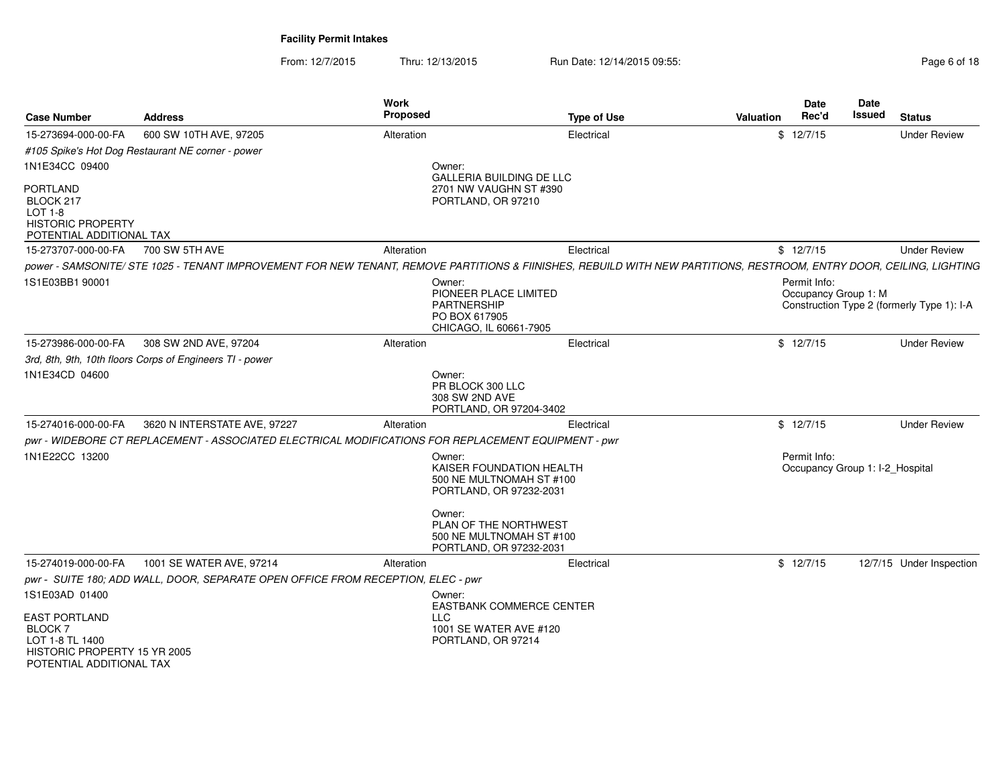From: 12/7/2015Thru: 12/13/2015 Run Date: 12/14/2015 09:55:<br>
Page 6 of 18

| <b>Case Number</b>                                                                                     | <b>Address</b>                                                                                                                                                       | Work<br><b>Proposed</b>                                                                          | <b>Type of Use</b>                                                                                       | <b>Valuation</b> | <b>Date</b><br>Rec'd                            | <b>Date</b><br><b>Issued</b> | <b>Status</b>                              |
|--------------------------------------------------------------------------------------------------------|----------------------------------------------------------------------------------------------------------------------------------------------------------------------|--------------------------------------------------------------------------------------------------|----------------------------------------------------------------------------------------------------------|------------------|-------------------------------------------------|------------------------------|--------------------------------------------|
| 15-273694-000-00-FA                                                                                    | 600 SW 10TH AVE, 97205                                                                                                                                               | Alteration                                                                                       | Electrical                                                                                               |                  | \$12/7/15                                       |                              | <b>Under Review</b>                        |
|                                                                                                        | #105 Spike's Hot Dog Restaurant NE corner - power                                                                                                                    |                                                                                                  |                                                                                                          |                  |                                                 |                              |                                            |
| 1N1E34CC 09400                                                                                         |                                                                                                                                                                      | Owner:                                                                                           |                                                                                                          |                  |                                                 |                              |                                            |
| <b>PORTLAND</b><br>BLOCK 217<br><b>LOT 1-8</b><br><b>HISTORIC PROPERTY</b><br>POTENTIAL ADDITIONAL TAX |                                                                                                                                                                      | PORTLAND, OR 97210                                                                               | GALLERIA BUILDING DE LLC<br>2701 NW VAUGHN ST #390                                                       |                  |                                                 |                              |                                            |
| 15-273707-000-00-FA                                                                                    | 700 SW 5TH AVE                                                                                                                                                       | Alteration                                                                                       | Electrical                                                                                               |                  | \$12/7/15                                       |                              | <b>Under Review</b>                        |
|                                                                                                        | power - SAMSONITE/ STE 1025 - TENANT IMPROVEMENT FOR NEW TENANT, REMOVE PARTITIONS & FIINISHES, REBUILD WITH NEW PARTITIONS, RESTROOM, ENTRY DOOR, CEILING, LIGHTING |                                                                                                  |                                                                                                          |                  |                                                 |                              |                                            |
| 1S1E03BB1 90001                                                                                        |                                                                                                                                                                      | Owner:<br>PIONEER PLACE LIMITED<br><b>PARTNERSHIP</b><br>PO BOX 617905<br>CHICAGO, IL 60661-7905 |                                                                                                          |                  | Permit Info:<br>Occupancy Group 1: M            |                              | Construction Type 2 (formerly Type 1): I-A |
| 15-273986-000-00-FA                                                                                    | 308 SW 2ND AVE, 97204                                                                                                                                                | Alteration                                                                                       | Electrical                                                                                               |                  | \$12/7/15                                       |                              | <b>Under Review</b>                        |
|                                                                                                        | 3rd, 8th, 9th, 10th floors Corps of Engineers TI - power                                                                                                             |                                                                                                  |                                                                                                          |                  |                                                 |                              |                                            |
| 1N1E34CD 04600                                                                                         |                                                                                                                                                                      | Owner:<br>PR BLOCK 300 LLC<br>308 SW 2ND AVE                                                     | PORTLAND, OR 97204-3402                                                                                  |                  |                                                 |                              |                                            |
| 15-274016-000-00-FA                                                                                    | 3620 N INTERSTATE AVE, 97227                                                                                                                                         | Alteration                                                                                       | Electrical                                                                                               |                  | \$12/7/15                                       |                              | <b>Under Review</b>                        |
|                                                                                                        | pwr - WIDEBORE CT REPLACEMENT - ASSOCIATED ELECTRICAL MODIFICATIONS FOR REPLACEMENT EQUIPMENT - pwr                                                                  |                                                                                                  |                                                                                                          |                  |                                                 |                              |                                            |
| 1N1E22CC 13200                                                                                         |                                                                                                                                                                      | Owner:<br>Owner:                                                                                 | KAISER FOUNDATION HEALTH<br>500 NE MULTNOMAH ST #100<br>PORTLAND, OR 97232-2031<br>PLAN OF THE NORTHWEST |                  | Permit Info:<br>Occupancy Group 1: I-2_Hospital |                              |                                            |
|                                                                                                        |                                                                                                                                                                      |                                                                                                  | 500 NE MULTNOMAH ST #100<br>PORTLAND, OR 97232-2031                                                      |                  |                                                 |                              |                                            |
| 15-274019-000-00-FA                                                                                    | 1001 SE WATER AVE, 97214                                                                                                                                             | Alteration                                                                                       | Electrical                                                                                               |                  | \$12/7/15                                       |                              | 12/7/15 Under Inspection                   |
|                                                                                                        | pwr - SUITE 180; ADD WALL, DOOR, SEPARATE OPEN OFFICE FROM RECEPTION, ELEC - pwr                                                                                     |                                                                                                  |                                                                                                          |                  |                                                 |                              |                                            |
| 1S1E03AD 01400<br><b>EAST PORTLAND</b>                                                                 |                                                                                                                                                                      | Owner:<br><b>LLC</b>                                                                             | EASTBANK COMMERCE CENTER                                                                                 |                  |                                                 |                              |                                            |
| <b>BLOCK7</b><br>LOT 1-8 TL 1400<br>HISTORIC PROPERTY 15 YR 2005<br>POTENTIAL ADDITIONAL TAX           |                                                                                                                                                                      | PORTLAND, OR 97214                                                                               | 1001 SE WATER AVE #120                                                                                   |                  |                                                 |                              |                                            |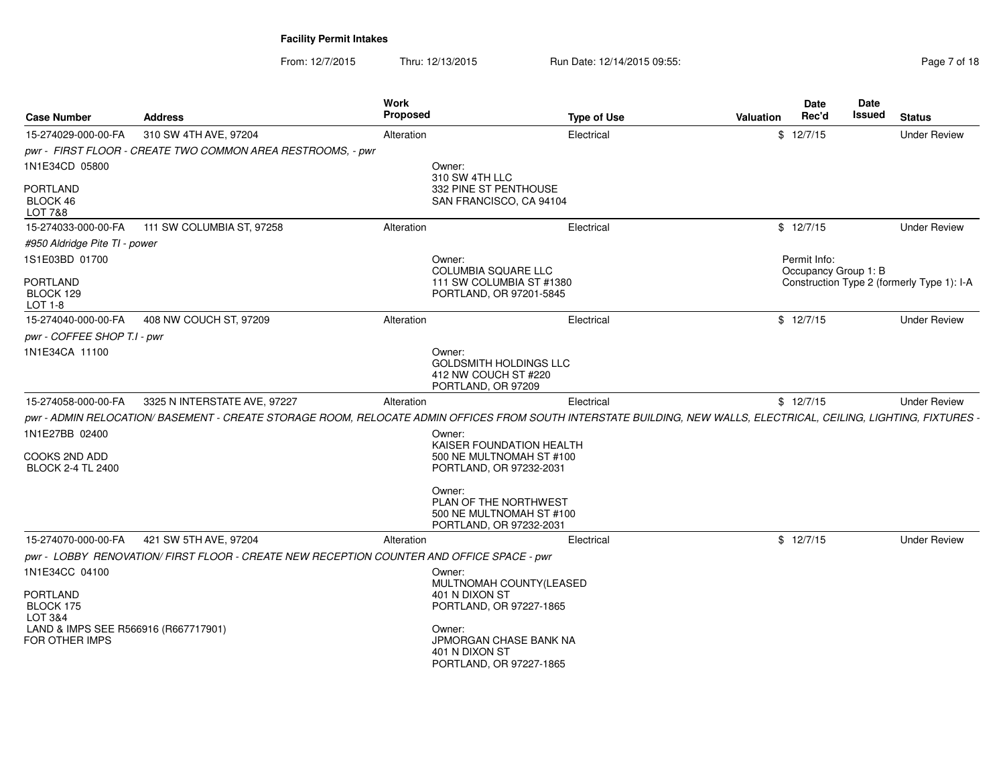From: 12/7/2015Thru: 12/13/2015 Run Date: 12/14/2015 09:55:<br>
Page 7 of 18

| <b>Case Number</b>                                            | <b>Address</b>                                                                                                                                                      | Work<br>Proposed                                     | <b>Type of Use</b>                                                              | <b>Valuation</b> | Date<br>Date<br>Rec'd<br>Issued | <b>Status</b>                              |
|---------------------------------------------------------------|---------------------------------------------------------------------------------------------------------------------------------------------------------------------|------------------------------------------------------|---------------------------------------------------------------------------------|------------------|---------------------------------|--------------------------------------------|
| 15-274029-000-00-FA                                           | 310 SW 4TH AVE, 97204                                                                                                                                               | Alteration                                           | Electrical                                                                      | \$12/7/15        |                                 | <b>Under Review</b>                        |
|                                                               | pwr - FIRST FLOOR - CREATE TWO COMMON AREA RESTROOMS. - pwr                                                                                                         |                                                      |                                                                                 |                  |                                 |                                            |
| 1N1E34CD 05800                                                |                                                                                                                                                                     | Owner:                                               |                                                                                 |                  |                                 |                                            |
| <b>PORTLAND</b><br>BLOCK 46<br><b>LOT 7&amp;8</b>             |                                                                                                                                                                     | 310 SW 4TH LLC                                       | 332 PINE ST PENTHOUSE<br>SAN FRANCISCO, CA 94104                                |                  |                                 |                                            |
| 15-274033-000-00-FA                                           | 111 SW COLUMBIA ST, 97258                                                                                                                                           | Alteration                                           | Electrical                                                                      | \$12/7/15        |                                 | <b>Under Review</b>                        |
| #950 Aldridge Pite TI - power                                 |                                                                                                                                                                     |                                                      |                                                                                 |                  |                                 |                                            |
| 1S1E03BD 01700                                                |                                                                                                                                                                     | Owner:                                               |                                                                                 | Permit Info:     |                                 |                                            |
| <b>PORTLAND</b>                                               |                                                                                                                                                                     | COLUMBIA SQUARE LLC                                  | 111 SW COLUMBIA ST #1380                                                        |                  | Occupancy Group 1: B            |                                            |
| BLOCK 129<br>LOT 1-8                                          |                                                                                                                                                                     |                                                      | PORTLAND, OR 97201-5845                                                         |                  |                                 | Construction Type 2 (formerly Type 1): I-A |
| 15-274040-000-00-FA                                           | 408 NW COUCH ST, 97209                                                                                                                                              | Alteration                                           | Electrical                                                                      | \$12/7/15        |                                 | <b>Under Review</b>                        |
| pwr - COFFEE SHOP T.I - pwr                                   |                                                                                                                                                                     |                                                      |                                                                                 |                  |                                 |                                            |
| 1N1E34CA 11100                                                |                                                                                                                                                                     | Owner:<br>412 NW COUCH ST #220<br>PORTLAND, OR 97209 | <b>GOLDSMITH HOLDINGS LLC</b>                                                   |                  |                                 |                                            |
| 15-274058-000-00-FA                                           | 3325 N INTERSTATE AVE, 97227                                                                                                                                        | Alteration                                           | Electrical                                                                      | \$12/7/15        |                                 | <b>Under Review</b>                        |
|                                                               | pwr - ADMIN RELOCATION/ BASEMENT - CREATE STORAGE ROOM, RELOCATE ADMIN OFFICES FROM SOUTH INTERSTATE BUILDING, NEW WALLS, ELECTRICAL, CEILING, LIGHTING, FIXTURES - |                                                      |                                                                                 |                  |                                 |                                            |
| 1N1E27BB 02400                                                |                                                                                                                                                                     | Owner:                                               |                                                                                 |                  |                                 |                                            |
| COOKS 2ND ADD<br><b>BLOCK 2-4 TL 2400</b>                     |                                                                                                                                                                     |                                                      | KAISER FOUNDATION HEALTH<br>500 NE MULTNOMAH ST #100<br>PORTLAND, OR 97232-2031 |                  |                                 |                                            |
|                                                               |                                                                                                                                                                     | Owner:                                               | PLAN OF THE NORTHWEST<br>500 NE MULTNOMAH ST #100<br>PORTLAND, OR 97232-2031    |                  |                                 |                                            |
| 15-274070-000-00-FA                                           | 421 SW 5TH AVE, 97204                                                                                                                                               | Alteration                                           | Electrical                                                                      | \$12/7/15        |                                 | <b>Under Review</b>                        |
|                                                               | pwr - LOBBY RENOVATION/ FIRST FLOOR - CREATE NEW RECEPTION COUNTER AND OFFICE SPACE - pwr                                                                           |                                                      |                                                                                 |                  |                                 |                                            |
| 1N1E34CC 04100                                                |                                                                                                                                                                     | Owner:                                               |                                                                                 |                  |                                 |                                            |
| <b>PORTLAND</b>                                               |                                                                                                                                                                     | 401 N DIXON ST                                       | MULTNOMAH COUNTY(LEASED                                                         |                  |                                 |                                            |
| BLOCK 175                                                     |                                                                                                                                                                     |                                                      | PORTLAND, OR 97227-1865                                                         |                  |                                 |                                            |
| LOT 3&4                                                       |                                                                                                                                                                     |                                                      |                                                                                 |                  |                                 |                                            |
| LAND & IMPS SEE R566916 (R667717901)<br><b>FOR OTHER IMPS</b> |                                                                                                                                                                     | Owner:<br>401 N DIXON ST                             | JPMORGAN CHASE BANK NA<br>PORTLAND, OR 97227-1865                               |                  |                                 |                                            |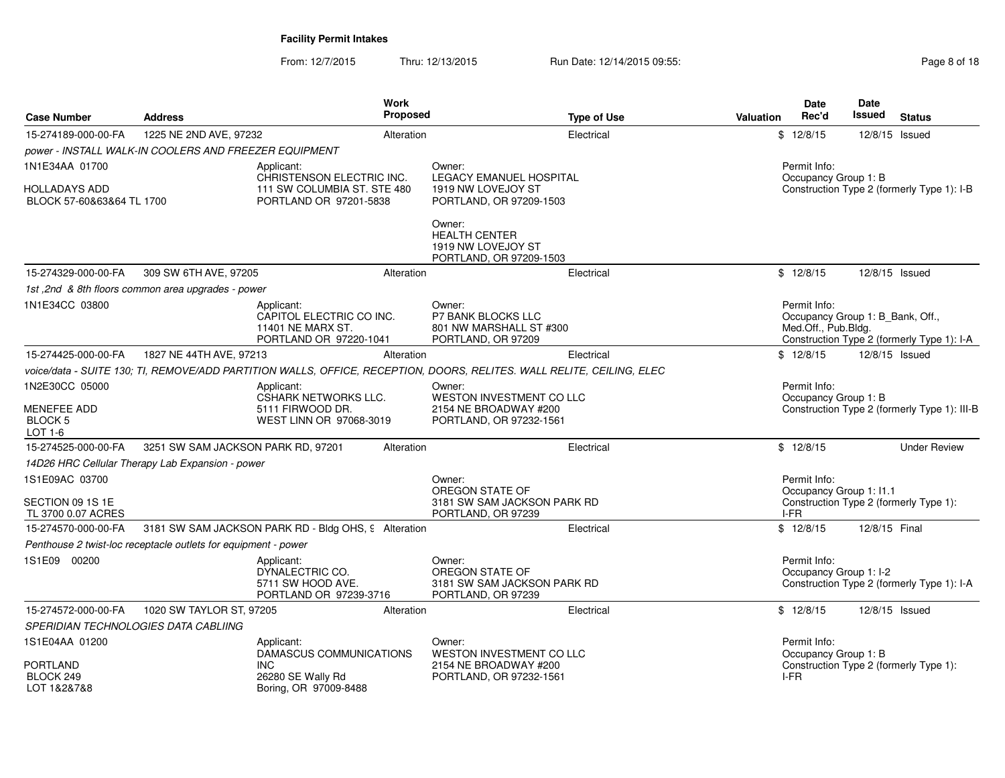From: 12/7/2015Thru: 12/13/2015 Run Date: 12/14/2015 09:55:<br>
Page 8 of 18

|                                                   |                                                                | <b>Work</b><br>Proposed                                                                                               |                                                                                      |                    |           | <b>Date</b><br>Rec'd                                                    | <b>Date</b><br>Issued |                                              |
|---------------------------------------------------|----------------------------------------------------------------|-----------------------------------------------------------------------------------------------------------------------|--------------------------------------------------------------------------------------|--------------------|-----------|-------------------------------------------------------------------------|-----------------------|----------------------------------------------|
| <b>Case Number</b>                                | <b>Address</b>                                                 |                                                                                                                       |                                                                                      | <b>Type of Use</b> | Valuation |                                                                         |                       | <b>Status</b>                                |
| 15-274189-000-00-FA                               | 1225 NE 2ND AVE, 97232                                         | Alteration                                                                                                            |                                                                                      | Electrical         |           | \$12/8/15                                                               |                       | 12/8/15 Issued                               |
|                                                   | power - INSTALL WALK-IN COOLERS AND FREEZER EQUIPMENT          |                                                                                                                       |                                                                                      |                    |           |                                                                         |                       |                                              |
| 1N1E34AA 01700                                    |                                                                | Applicant:<br>CHRISTENSON ELECTRIC INC.                                                                               | Owner:<br><b>LEGACY EMANUEL HOSPITAL</b>                                             |                    |           | Permit Info:<br>Occupancy Group 1: B                                    |                       |                                              |
| <b>HOLLADAYS ADD</b><br>BLOCK 57-60&63&64 TL 1700 |                                                                | 111 SW COLUMBIA ST. STE 480<br>PORTLAND OR 97201-5838                                                                 | 1919 NW LOVEJOY ST<br>PORTLAND, OR 97209-1503                                        |                    |           |                                                                         |                       | Construction Type 2 (formerly Type 1): I-B   |
|                                                   |                                                                |                                                                                                                       | Owner:<br><b>HEALTH CENTER</b><br>1919 NW LOVEJOY ST<br>PORTLAND, OR 97209-1503      |                    |           |                                                                         |                       |                                              |
| 15-274329-000-00-FA                               | 309 SW 6TH AVE, 97205                                          | Alteration                                                                                                            |                                                                                      | Electrical         |           | \$12/8/15                                                               |                       | 12/8/15 Issued                               |
|                                                   | 1st, 2nd & 8th floors common area upgrades - power             |                                                                                                                       |                                                                                      |                    |           |                                                                         |                       |                                              |
| 1N1E34CC 03800                                    |                                                                | Applicant:<br>CAPITOL ELECTRIC CO INC.<br>11401 NE MARX ST.<br>PORTLAND OR 97220-1041                                 | Owner:<br><b>P7 BANK BLOCKS LLC</b><br>801 NW MARSHALL ST #300<br>PORTLAND, OR 97209 |                    |           | Permit Info:<br>Occupancy Group 1: B Bank, Off.,<br>Med.Off., Pub.Bldg. |                       | Construction Type 2 (formerly Type 1): I-A   |
| 15-274425-000-00-FA                               | 1827 NE 44TH AVE, 97213                                        | Alteration                                                                                                            |                                                                                      | Electrical         |           | \$12/8/15                                                               |                       | 12/8/15 Issued                               |
|                                                   |                                                                | voice/data - SUITE 130; TI, REMOVE/ADD PARTITION WALLS, OFFICE, RECEPTION, DOORS, RELITES. WALL RELITE, CEILING, ELEC |                                                                                      |                    |           |                                                                         |                       |                                              |
| 1N2E30CC 05000                                    |                                                                | Applicant:                                                                                                            | Owner:                                                                               |                    |           | Permit Info:                                                            |                       |                                              |
| MENEFEE ADD<br>BLOCK <sub>5</sub><br>LOT 1-6      |                                                                | CSHARK NETWORKS LLC.<br>5111 FIRWOOD DR.<br>WEST LINN OR 97068-3019                                                   | WESTON INVESTMENT CO LLC<br>2154 NE BROADWAY #200<br>PORTLAND, OR 97232-1561         |                    |           | Occupancy Group 1: B                                                    |                       | Construction Type 2 (formerly Type 1): III-B |
| 15-274525-000-00-FA                               | 3251 SW SAM JACKSON PARK RD, 97201                             | Alteration                                                                                                            |                                                                                      | Electrical         |           | \$12/8/15                                                               |                       | <b>Under Review</b>                          |
|                                                   | 14D26 HRC Cellular Therapy Lab Expansion - power               |                                                                                                                       |                                                                                      |                    |           |                                                                         |                       |                                              |
| 1S1E09AC 03700                                    |                                                                |                                                                                                                       | Owner:<br>OREGON STATE OF                                                            |                    |           | Permit Info:<br>Occupancy Group 1: I1.1                                 |                       |                                              |
| SECTION 09 1S 1E<br>TL 3700 0.07 ACRES            |                                                                |                                                                                                                       | 3181 SW SAM JACKSON PARK RD<br>PORTLAND, OR 97239                                    |                    |           | I-FR                                                                    |                       | Construction Type 2 (formerly Type 1):       |
| 15-274570-000-00-FA                               |                                                                | 3181 SW SAM JACKSON PARK RD - Bldg OHS, 9 Alteration                                                                  |                                                                                      | Electrical         |           | \$12/8/15                                                               | 12/8/15 Final         |                                              |
|                                                   | Penthouse 2 twist-loc receptacle outlets for equipment - power |                                                                                                                       |                                                                                      |                    |           |                                                                         |                       |                                              |
| 1S1E09 00200                                      |                                                                | Applicant:<br>DYNALECTRIC CO.<br>5711 SW HOOD AVE.<br>PORTLAND OR 97239-3716                                          | Owner:<br>OREGON STATE OF<br>3181 SW SAM JACKSON PARK RD<br>PORTLAND, OR 97239       |                    |           | Permit Info:<br>Occupancy Group 1: I-2                                  |                       | Construction Type 2 (formerly Type 1): I-A   |
| 15-274572-000-00-FA                               | 1020 SW TAYLOR ST, 97205                                       | Alteration                                                                                                            |                                                                                      | Electrical         |           | \$12/8/15                                                               |                       | 12/8/15 Issued                               |
|                                                   | SPERIDIAN TECHNOLOGIES DATA CABLIING                           |                                                                                                                       |                                                                                      |                    |           |                                                                         |                       |                                              |
| 1S1E04AA 01200                                    |                                                                | Applicant:<br>DAMASCUS COMMUNICATIONS                                                                                 | Owner:<br><b>WESTON INVESTMENT CO LLC</b>                                            |                    |           | Permit Info:<br>Occupancy Group 1: B                                    |                       |                                              |
| <b>PORTLAND</b><br>BLOCK 249<br>LOT 1&2&7&8       |                                                                | <b>INC</b><br>26280 SE Wally Rd<br>Boring, OR 97009-8488                                                              | 2154 NE BROADWAY #200<br>PORTLAND, OR 97232-1561                                     |                    |           | I-FR                                                                    |                       | Construction Type 2 (formerly Type 1):       |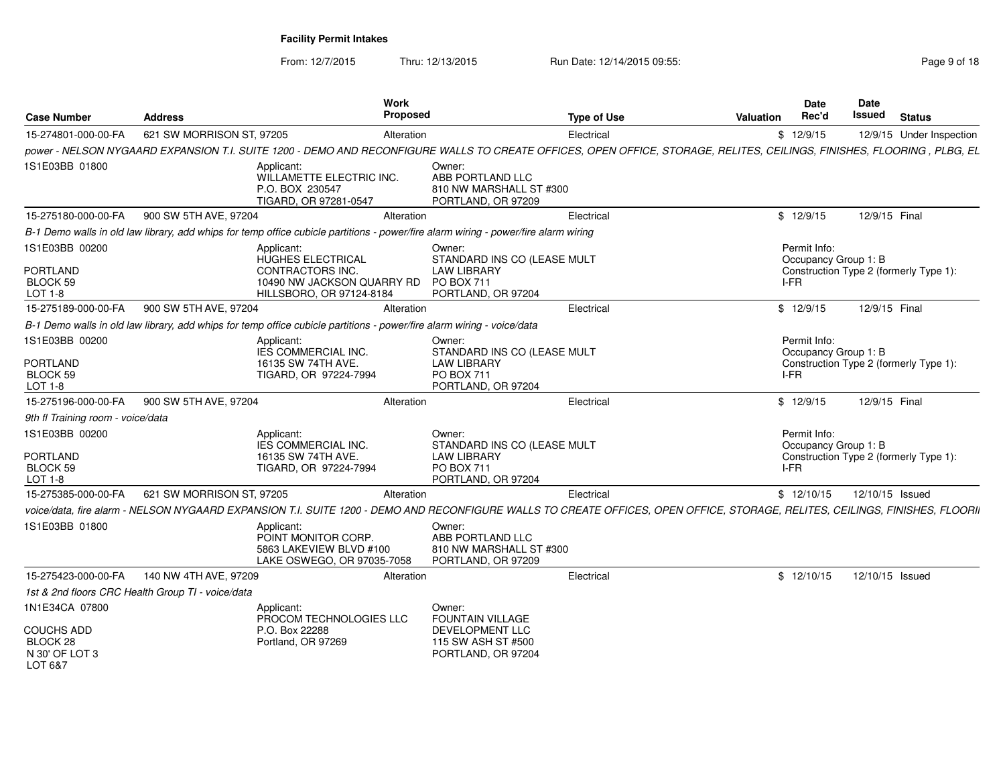From: 12/7/2015Thru: 12/13/2015 Run Date: 12/14/2015 09:55:<br>
Page 9 of 18

| <b>Case Number</b>                                | <b>Address</b>            | Work<br>Proposed                                                                                                                                                             |                                                                                                 | <b>Type of Use</b> | <b>Valuation</b> | Date<br>Rec'd                                | Date<br>Issued  | <b>Status</b>                          |
|---------------------------------------------------|---------------------------|------------------------------------------------------------------------------------------------------------------------------------------------------------------------------|-------------------------------------------------------------------------------------------------|--------------------|------------------|----------------------------------------------|-----------------|----------------------------------------|
| 15-274801-000-00-FA                               | 621 SW MORRISON ST, 97205 | Alteration                                                                                                                                                                   |                                                                                                 | Electrical         |                  | \$12/9/15                                    |                 | 12/9/15 Under Inspection               |
|                                                   |                           | power - NELSON NYGAARD EXPANSION T.I. SUITE 1200 - DEMO AND RECONFIGURE WALLS TO CREATE OFFICES, OPEN OFFICE, STORAGE, RELITES, CEILINGS, FINISHES, FLOORING, PLBG, EL       |                                                                                                 |                    |                  |                                              |                 |                                        |
| 1S1E03BB 01800                                    |                           | Applicant:<br>WILLAMETTE ELECTRIC INC.<br>P.O. BOX 230547<br>TIGARD, OR 97281-0547                                                                                           | Owner:<br>ABB PORTLAND LLC<br>810 NW MARSHALL ST #300<br>PORTLAND, OR 97209                     |                    |                  |                                              |                 |                                        |
| 15-275180-000-00-FA                               | 900 SW 5TH AVE, 97204     | Alteration                                                                                                                                                                   |                                                                                                 | Electrical         |                  | \$12/9/15                                    | 12/9/15 Final   |                                        |
|                                                   |                           | B-1 Demo walls in old law library, add whips for temp office cubicle partitions - power/fire alarm wiring - power/fire alarm wiring                                          |                                                                                                 |                    |                  |                                              |                 |                                        |
| 1S1E03BB 00200<br>PORTLAND<br>BLOCK 59<br>LOT 1-8 |                           | Applicant:<br>HUGHES ELECTRICAL<br><b>CONTRACTORS INC.</b><br>10490 NW JACKSON QUARRY RD<br>HILLSBORO, OR 97124-8184                                                         | Owner:<br>STANDARD INS CO (LEASE MULT<br><b>LAW LIBRARY</b><br>PO BOX 711<br>PORTLAND, OR 97204 |                    |                  | Permit Info:<br>Occupancy Group 1: B<br>I-FR |                 | Construction Type 2 (formerly Type 1): |
| 15-275189-000-00-FA                               | 900 SW 5TH AVE, 97204     | Alteration                                                                                                                                                                   |                                                                                                 | Electrical         |                  | \$12/9/15                                    | 12/9/15 Final   |                                        |
|                                                   |                           | B-1 Demo walls in old law library, add whips for temp office cubicle partitions - power/fire alarm wiring - voice/data                                                       |                                                                                                 |                    |                  |                                              |                 |                                        |
| 1S1E03BB 00200                                    |                           | Applicant:<br>IES COMMERCIAL INC.                                                                                                                                            | Owner:<br>STANDARD INS CO (LEASE MULT                                                           |                    |                  | Permit Info:<br>Occupancy Group 1: B         |                 |                                        |
| PORTLAND<br>BLOCK 59<br>LOT 1-8                   |                           | 16135 SW 74TH AVE.<br>TIGARD, OR 97224-7994                                                                                                                                  | <b>LAW LIBRARY</b><br><b>PO BOX 711</b><br>PORTLAND, OR 97204                                   |                    |                  | I-FR                                         |                 | Construction Type 2 (formerly Type 1): |
| 15-275196-000-00-FA                               | 900 SW 5TH AVE, 97204     | Alteration                                                                                                                                                                   |                                                                                                 | Electrical         |                  | \$12/9/15                                    | 12/9/15 Final   |                                        |
| 9th fl Training room - voice/data                 |                           |                                                                                                                                                                              |                                                                                                 |                    |                  |                                              |                 |                                        |
| 1S1E03BB 00200                                    |                           | Applicant:<br><b>IES COMMERCIAL INC.</b>                                                                                                                                     | Owner:<br>STANDARD INS CO (LEASE MULT                                                           |                    |                  | Permit Info:<br>Occupancy Group 1: B         |                 |                                        |
| PORTLAND<br>BLOCK 59<br>LOT 1-8                   |                           | 16135 SW 74TH AVE.<br>TIGARD, OR 97224-7994                                                                                                                                  | <b>LAW LIBRARY</b><br>PO BOX 711<br>PORTLAND, OR 97204                                          |                    |                  | I-FR                                         |                 | Construction Type 2 (formerly Type 1): |
| 15-275385-000-00-FA                               | 621 SW MORRISON ST, 97205 | Alteration                                                                                                                                                                   |                                                                                                 | Electrical         |                  | \$12/10/15                                   | 12/10/15 Issued |                                        |
|                                                   |                           | voice/data, fire alarm - NELSON NYGAARD EXPANSION T.I. SUITE 1200 - DEMO AND RECONFIGURE WALLS TO CREATE OFFICES, OPEN OFFICE, STORAGE, RELITES, CEILINGS, FINISHES, FLOORII |                                                                                                 |                    |                  |                                              |                 |                                        |
| 1S1E03BB 01800                                    |                           | Applicant:<br>POINT MONITOR CORP.<br>5863 LAKEVIEW BLVD #100<br>LAKE OSWEGO, OR 97035-7058                                                                                   | Owner:<br>ABB PORTLAND LLC<br>810 NW MARSHALL ST #300<br>PORTLAND, OR 97209                     |                    |                  |                                              |                 |                                        |
| 15-275423-000-00-FA                               | 140 NW 4TH AVE, 97209     | Alteration                                                                                                                                                                   |                                                                                                 | Electrical         |                  | \$12/10/15                                   | 12/10/15 Issued |                                        |
| 1st & 2nd floors CRC Health Group TI - voice/data |                           |                                                                                                                                                                              |                                                                                                 |                    |                  |                                              |                 |                                        |
| 1N1E34CA 07800<br><b>COUCHS ADD</b><br>BLOCK 28   |                           | Applicant:<br>PROCOM TECHNOLOGIES LLC<br>P.O. Box 22288<br>Portland, OR 97269                                                                                                | Owner:<br><b>FOUNTAIN VILLAGE</b><br>DEVELOPMENT LLC<br>115 SW ASH ST #500                      |                    |                  |                                              |                 |                                        |
| N 30' OF LOT 3<br>LOT 6&7                         |                           |                                                                                                                                                                              | PORTLAND, OR 97204                                                                              |                    |                  |                                              |                 |                                        |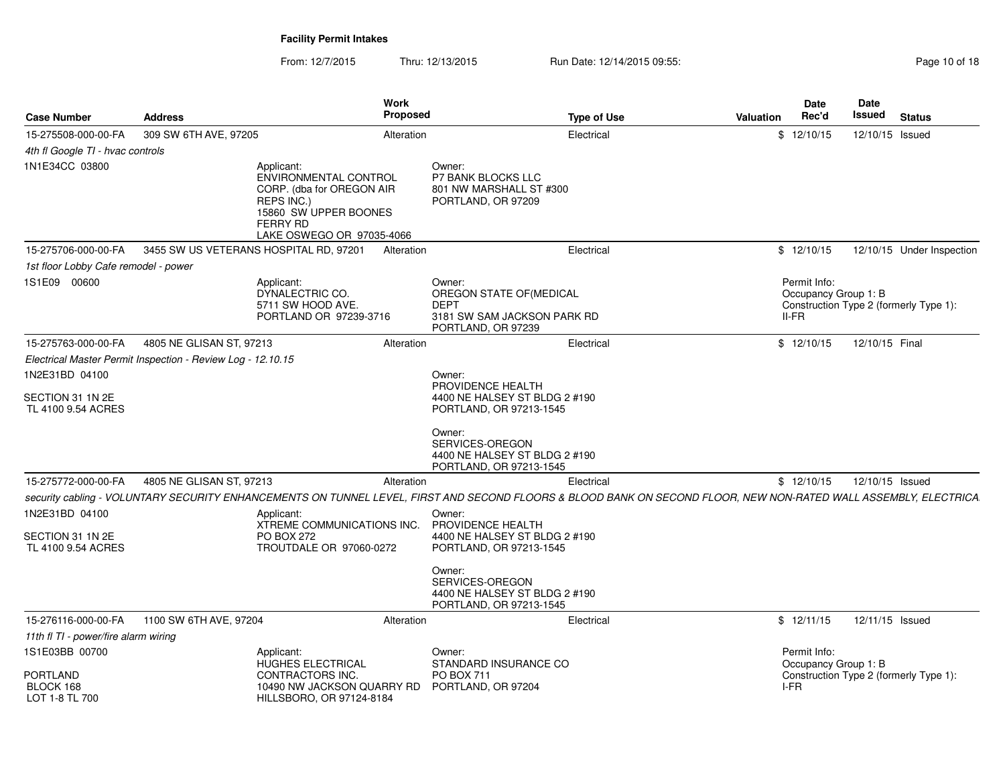From: 12/7/2015Thru: 12/13/2015 Run Date: 12/14/2015 09:55:<br>48 Page 10 of 18

| <b>Case Number</b>                      | <b>Address</b>                                              | <b>Work</b><br>Proposed                                                                                                                                          |                                                                                                                  | <b>Type of Use</b> | <b>Valuation</b> | <b>Date</b><br>Rec'd                            | Date<br>Issued  | <b>Status</b>                          |
|-----------------------------------------|-------------------------------------------------------------|------------------------------------------------------------------------------------------------------------------------------------------------------------------|------------------------------------------------------------------------------------------------------------------|--------------------|------------------|-------------------------------------------------|-----------------|----------------------------------------|
| 15-275508-000-00-FA                     | 309 SW 6TH AVE, 97205                                       | Alteration                                                                                                                                                       |                                                                                                                  | Electrical         |                  | \$12/10/15                                      | 12/10/15 Issued |                                        |
| 4th fl Google TI - hvac controls        |                                                             |                                                                                                                                                                  |                                                                                                                  |                    |                  |                                                 |                 |                                        |
| 1N1E34CC 03800                          |                                                             | Applicant:<br>ENVIRONMENTAL CONTROL<br>CORP. (dba for OREGON AIR<br>REPS INC.)<br>15860 SW UPPER BOONES<br><b>FERRY RD</b><br>LAKE OSWEGO OR 97035-4066          | Owner:<br>P7 BANK BLOCKS LLC<br>801 NW MARSHALL ST #300<br>PORTLAND, OR 97209                                    |                    |                  |                                                 |                 |                                        |
| 15-275706-000-00-FA                     |                                                             | 3455 SW US VETERANS HOSPITAL RD, 97201<br>Alteration                                                                                                             |                                                                                                                  | Electrical         |                  | \$12/10/15                                      |                 | 12/10/15 Under Inspection              |
| 1st floor Lobby Cafe remodel - power    |                                                             |                                                                                                                                                                  |                                                                                                                  |                    |                  |                                                 |                 |                                        |
| 1S1E09 00600                            |                                                             | Applicant:<br>DYNALECTRIC CO.<br>5711 SW HOOD AVE.<br>PORTLAND OR 97239-3716                                                                                     | Owner:<br>OREGON STATE OF (MEDICAL<br><b>DEPT</b><br>3181 SW SAM JACKSON PARK RD<br>PORTLAND, OR 97239           |                    |                  | Permit Info:<br>Occupancy Group 1: B<br>$II-FR$ |                 | Construction Type 2 (formerly Type 1): |
| 15-275763-000-00-FA                     | 4805 NE GLISAN ST, 97213                                    | Alteration                                                                                                                                                       |                                                                                                                  | Electrical         |                  | \$12/10/15                                      | 12/10/15 Final  |                                        |
|                                         | Electrical Master Permit Inspection - Review Log - 12.10.15 |                                                                                                                                                                  |                                                                                                                  |                    |                  |                                                 |                 |                                        |
| 1N2E31BD 04100                          |                                                             |                                                                                                                                                                  | Owner:                                                                                                           |                    |                  |                                                 |                 |                                        |
| SECTION 31 1N 2E<br>TL 4100 9.54 ACRES  |                                                             |                                                                                                                                                                  | PROVIDENCE HEALTH<br>4400 NE HALSEY ST BLDG 2 #190<br>PORTLAND, OR 97213-1545                                    |                    |                  |                                                 |                 |                                        |
|                                         |                                                             |                                                                                                                                                                  | Owner:<br>SERVICES-OREGON<br>4400 NE HALSEY ST BLDG 2 #190<br>PORTLAND, OR 97213-1545                            |                    |                  |                                                 |                 |                                        |
| 15-275772-000-00-FA                     | 4805 NE GLISAN ST, 97213                                    | Alteration                                                                                                                                                       |                                                                                                                  | Electrical         |                  | \$12/10/15                                      | 12/10/15 Issued |                                        |
|                                         |                                                             | security cabling - VOLUNTARY SECURITY ENHANCEMENTS ON TUNNEL LEVEL, FIRST AND SECOND FLOORS & BLOOD BANK ON SECOND FLOOR, NEW NON-RATED WALL ASSEMBLY, ELECTRICA |                                                                                                                  |                    |                  |                                                 |                 |                                        |
| 1N2E31BD 04100<br>SECTION 31 1N 2E      |                                                             | Applicant:<br>XTREME COMMUNICATIONS INC.<br><b>PO BOX 272</b>                                                                                                    | Owner:<br>PROVIDENCE HEALTH<br>4400 NE HALSEY ST BLDG 2 #190                                                     |                    |                  |                                                 |                 |                                        |
| TL 4100 9.54 ACRES                      |                                                             | TROUTDALE OR 97060-0272                                                                                                                                          | PORTLAND, OR 97213-1545<br>Owner:<br>SERVICES-OREGON<br>4400 NE HALSEY ST BLDG 2 #190<br>PORTLAND, OR 97213-1545 |                    |                  |                                                 |                 |                                        |
| 15-276116-000-00-FA                     | 1100 SW 6TH AVE, 97204                                      | Alteration                                                                                                                                                       |                                                                                                                  | Electrical         |                  | \$12/11/15                                      | 12/11/15 Issued |                                        |
| 11th fl TI - power/fire alarm wiring    |                                                             |                                                                                                                                                                  |                                                                                                                  |                    |                  |                                                 |                 |                                        |
| 1S1E03BB 00700                          |                                                             | Applicant:<br><b>HUGHES ELECTRICAL</b>                                                                                                                           | Owner:<br>STANDARD INSURANCE CO                                                                                  |                    |                  | Permit Info:<br>Occupancy Group 1: B            |                 |                                        |
| PORTLAND<br>BLOCK 168<br>LOT 1-8 TL 700 |                                                             | CONTRACTORS INC.<br>10490 NW JACKSON QUARRY RD PORTLAND, OR 97204<br>HILLSBORO, OR 97124-8184                                                                    | <b>PO BOX 711</b>                                                                                                |                    |                  | I-FR                                            |                 | Construction Type 2 (formerly Type 1): |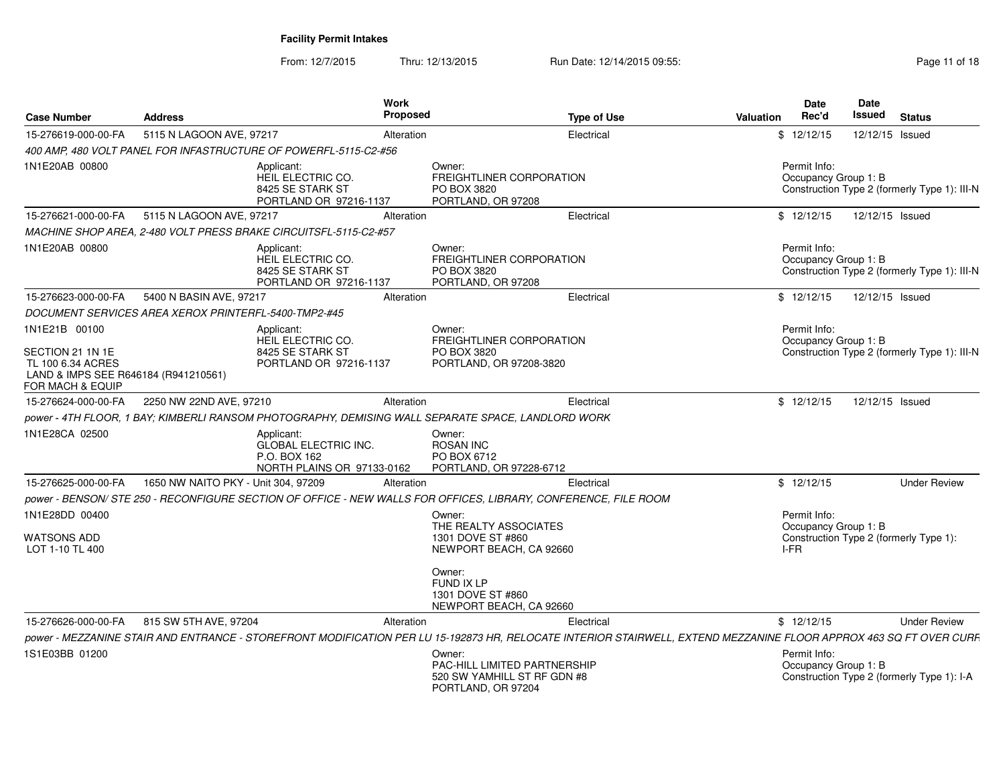From: 12/7/2015Thru: 12/13/2015 Run Date: 12/14/2015 09:55:<br>48 Page 11 of 18

| <b>Case Number</b>                                                                                                 | <b>Address</b>                                              | <b>Work</b><br><b>Proposed</b>                                                                                                                                     |                                                                                             | <b>Type of Use</b> | <b>Valuation</b> | <b>Date</b><br>Rec'd                 | <b>Date</b><br>Issued | <b>Status</b>                                |
|--------------------------------------------------------------------------------------------------------------------|-------------------------------------------------------------|--------------------------------------------------------------------------------------------------------------------------------------------------------------------|---------------------------------------------------------------------------------------------|--------------------|------------------|--------------------------------------|-----------------------|----------------------------------------------|
| 15-276619-000-00-FA                                                                                                | 5115 N LAGOON AVE, 97217                                    | Alteration                                                                                                                                                         |                                                                                             | Electrical         |                  | \$12/12/15                           | 12/12/15 Issued       |                                              |
|                                                                                                                    |                                                             | 400 AMP, 480 VOLT PANEL FOR INFASTRUCTURE OF POWERFL-5115-C2-#56                                                                                                   |                                                                                             |                    |                  |                                      |                       |                                              |
| 1N1E20AB 00800                                                                                                     |                                                             | Applicant:<br>HEIL ELECTRIC CO.<br>8425 SE STARK ST<br>PORTLAND OR 97216-1137                                                                                      | Owner:<br><b>FREIGHTLINER CORPORATION</b><br>PO BOX 3820<br>PORTLAND, OR 97208              |                    |                  | Permit Info:<br>Occupancy Group 1: B |                       | Construction Type 2 (formerly Type 1): III-N |
| 15-276621-000-00-FA                                                                                                | 5115 N LAGOON AVE, 97217                                    | Alteration                                                                                                                                                         |                                                                                             | Electrical         |                  | \$12/12/15                           | 12/12/15 Issued       |                                              |
|                                                                                                                    |                                                             | MACHINE SHOP AREA, 2-480 VOLT PRESS BRAKE CIRCUITSFL-5115-C2-#57                                                                                                   |                                                                                             |                    |                  |                                      |                       |                                              |
| 1N1E20AB 00800                                                                                                     |                                                             | Applicant:<br>HEIL ELECTRIC CO.<br>8425 SE STARK ST<br>PORTLAND OR 97216-1137                                                                                      | Owner:<br><b>FREIGHTLINER CORPORATION</b><br>PO BOX 3820<br>PORTLAND, OR 97208              |                    |                  | Permit Info:<br>Occupancy Group 1: B |                       | Construction Type 2 (formerly Type 1): III-N |
| 15-276623-000-00-FA                                                                                                | 5400 N BASIN AVE, 97217                                     | Alteration                                                                                                                                                         |                                                                                             | Electrical         |                  | \$12/12/15                           | 12/12/15 Issued       |                                              |
|                                                                                                                    | <b>DOCUMENT SERVICES AREA XEROX PRINTERFL-5400-TMP2-#45</b> |                                                                                                                                                                    |                                                                                             |                    |                  |                                      |                       |                                              |
| 1N1E21B 00100<br>SECTION 21 1N 1E<br>TL 100 6.34 ACRES<br>LAND & IMPS SEE R646184 (R941210561)<br>FOR MACH & EQUIP |                                                             | Applicant:<br>HEIL ELECTRIC CO.<br>8425 SE STARK ST<br>PORTLAND OR 97216-1137                                                                                      | Owner:<br><b>FREIGHTLINER CORPORATION</b><br>PO BOX 3820<br>PORTLAND, OR 97208-3820         |                    |                  | Permit Info:<br>Occupancy Group 1: B |                       | Construction Type 2 (formerly Type 1): III-N |
| 15-276624-000-00-FA                                                                                                | 2250 NW 22ND AVE, 97210                                     | Alteration                                                                                                                                                         |                                                                                             | Electrical         |                  | \$12/12/15                           | 12/12/15 Issued       |                                              |
|                                                                                                                    |                                                             | power - 4TH FLOOR, 1 BAY; KIMBERLI RANSOM PHOTOGRAPHY, DEMISING WALL SEPARATE SPACE, LANDLORD WORK                                                                 |                                                                                             |                    |                  |                                      |                       |                                              |
| 1N1E28CA 02500                                                                                                     |                                                             | Applicant:<br><b>GLOBAL ELECTRIC INC.</b><br>P.O. BOX 162<br>NORTH PLAINS OR 97133-0162                                                                            | Owner:<br><b>ROSAN INC</b><br>PO BOX 6712<br>PORTLAND, OR 97228-6712                        |                    |                  |                                      |                       |                                              |
| 15-276625-000-00-FA                                                                                                | 1650 NW NAITO PKY - Unit 304, 97209                         | Alteration                                                                                                                                                         |                                                                                             | Electrical         |                  | \$12/12/15                           |                       | <b>Under Review</b>                          |
|                                                                                                                    |                                                             | power - BENSON/ STE 250 - RECONFIGURE SECTION OF OFFICE - NEW WALLS FOR OFFICES, LIBRARY, CONFERENCE, FILE ROOM                                                    |                                                                                             |                    |                  |                                      |                       |                                              |
| 1N1E28DD 00400                                                                                                     |                                                             |                                                                                                                                                                    | Owner:                                                                                      |                    |                  | Permit Info:                         |                       |                                              |
| WATSONS ADD<br>LOT 1-10 TL 400                                                                                     |                                                             |                                                                                                                                                                    | THE REALTY ASSOCIATES<br>1301 DOVE ST #860<br>NEWPORT BEACH, CA 92660                       |                    |                  | Occupancy Group 1: B<br>I-FR         |                       | Construction Type 2 (formerly Type 1):       |
|                                                                                                                    |                                                             |                                                                                                                                                                    | Owner:<br>FUND IX LP<br>1301 DOVE ST #860<br>NEWPORT BEACH, CA 92660                        |                    |                  |                                      |                       |                                              |
| 15-276626-000-00-FA                                                                                                | 815 SW 5TH AVE, 97204                                       | Alteration                                                                                                                                                         |                                                                                             | Electrical         |                  | \$12/12/15                           |                       | <b>Under Review</b>                          |
|                                                                                                                    |                                                             | power - MEZZANINE STAIR AND ENTRANCE - STOREFRONT MODIFICATION PER LU 15-192873 HR, RELOCATE INTERIOR STAIRWELL, EXTEND MEZZANINE FLOOR APPROX 463 SQ FT OVER CURF |                                                                                             |                    |                  |                                      |                       |                                              |
| 1S1E03BB 01200                                                                                                     |                                                             |                                                                                                                                                                    | Owner:<br>PAC-HILL LIMITED PARTNERSHIP<br>520 SW YAMHILL ST RF GDN #8<br>PORTLAND, OR 97204 |                    |                  | Permit Info:<br>Occupancy Group 1: B |                       | Construction Type 2 (formerly Type 1): I-A   |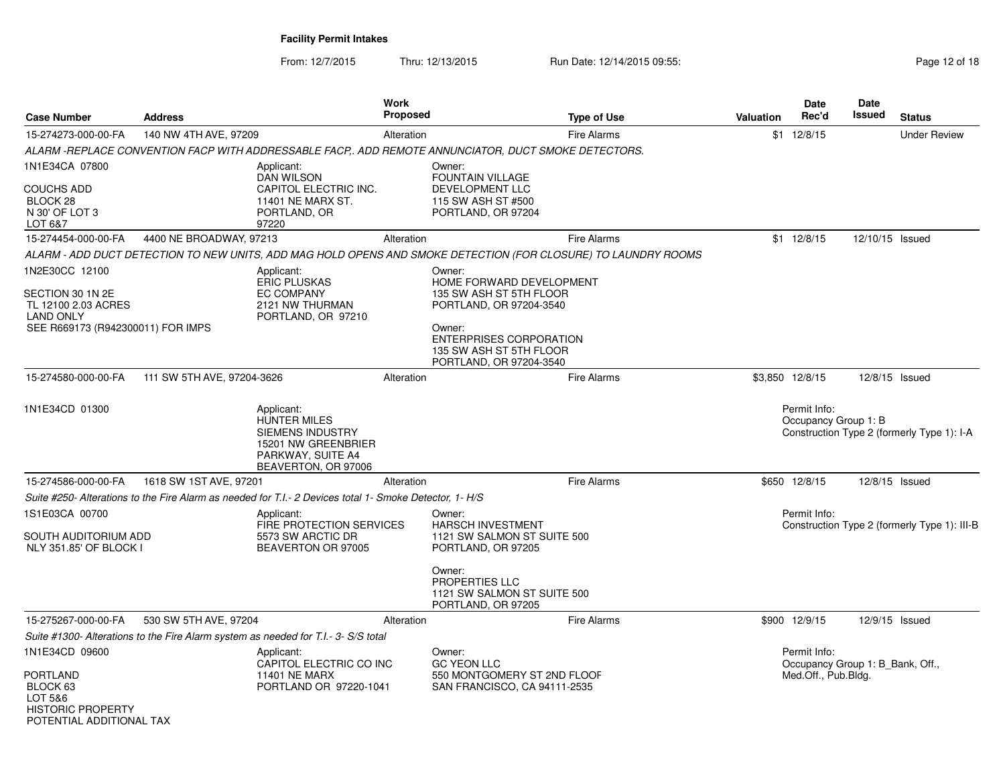From: 12/7/2015Thru: 12/13/2015 Run Date: 12/14/2015 09:55:<br>48 Page 12 of 18

| <b>Case Number</b>                                                                                                 | <b>Address</b>             |                                                                                                                                 | Work<br><b>Proposed</b> | <b>Type of Use</b>                                                                                                                                                                         | <b>Valuation</b> | <b>Date</b><br>Rec'd                                                    | Date<br><b>Issued</b> | <b>Status</b>                                |
|--------------------------------------------------------------------------------------------------------------------|----------------------------|---------------------------------------------------------------------------------------------------------------------------------|-------------------------|--------------------------------------------------------------------------------------------------------------------------------------------------------------------------------------------|------------------|-------------------------------------------------------------------------|-----------------------|----------------------------------------------|
| 15-274273-000-00-FA                                                                                                | 140 NW 4TH AVE, 97209      |                                                                                                                                 | Alteration              | <b>Fire Alarms</b>                                                                                                                                                                         |                  | $$1 \t12/8/15$                                                          |                       | <b>Under Review</b>                          |
|                                                                                                                    |                            |                                                                                                                                 |                         | ALARM -REPLACE CONVENTION FACP WITH ADDRESSABLE FACP,. ADD REMOTE ANNUNCIATOR, DUCT SMOKE DETECTORS.                                                                                       |                  |                                                                         |                       |                                              |
| 1N1E34CA 07800<br><b>COUCHS ADD</b><br>BLOCK <sub>28</sub><br>N 30' OF LOT 3<br>LOT 6&7                            |                            | Applicant:<br>DAN WILSON<br>CAPITOL ELECTRIC INC.<br>11401 NE MARX ST.<br>PORTLAND, OR<br>97220                                 |                         | Owner:<br>FOUNTAIN VILLAGE<br><b>DEVELOPMENT LLC</b><br>115 SW ASH ST #500<br>PORTLAND, OR 97204                                                                                           |                  |                                                                         |                       |                                              |
| 15-274454-000-00-FA                                                                                                | 4400 NE BROADWAY, 97213    |                                                                                                                                 | Alteration              | Fire Alarms                                                                                                                                                                                |                  | $$1 \t12/8/15$                                                          | 12/10/15 Issued       |                                              |
|                                                                                                                    |                            |                                                                                                                                 |                         | ALARM - ADD DUCT DETECTION TO NEW UNITS, ADD MAG HOLD OPENS AND SMOKE DETECTION (FOR CLOSURE) TO LAUNDRY ROOMS                                                                             |                  |                                                                         |                       |                                              |
| 1N2E30CC 12100<br>SECTION 30 1N 2E<br>TL 12100 2.03 ACRES<br><b>LAND ONLY</b><br>SEE R669173 (R942300011) FOR IMPS |                            | Applicant:<br><b>ERIC PLUSKAS</b><br>EC COMPANY<br>2121 NW THURMAN<br>PORTLAND, OR 97210                                        |                         | Owner:<br>HOME FORWARD DEVELOPMENT<br>135 SW ASH ST 5TH FLOOR<br>PORTLAND, OR 97204-3540<br>Owner:<br><b>ENTERPRISES CORPORATION</b><br>135 SW ASH ST 5TH FLOOR<br>PORTLAND, OR 97204-3540 |                  |                                                                         |                       |                                              |
| 15-274580-000-00-FA                                                                                                | 111 SW 5TH AVE, 97204-3626 |                                                                                                                                 | Alteration              | <b>Fire Alarms</b>                                                                                                                                                                         |                  | \$3,850 12/8/15                                                         | 12/8/15 Issued        |                                              |
| 1N1E34CD 01300                                                                                                     |                            | Applicant:<br><b>HUNTER MILES</b><br><b>SIEMENS INDUSTRY</b><br>15201 NW GREENBRIER<br>PARKWAY, SUITE A4<br>BEAVERTON, OR 97006 |                         |                                                                                                                                                                                            |                  | Permit Info:<br>Occupancy Group 1: B                                    |                       | Construction Type 2 (formerly Type 1): I-A   |
| 15-274586-000-00-FA                                                                                                | 1618 SW 1ST AVE, 97201     |                                                                                                                                 | Alteration              | <b>Fire Alarms</b>                                                                                                                                                                         |                  | \$650 12/8/15                                                           | 12/8/15 Issued        |                                              |
|                                                                                                                    |                            | Suite #250- Alterations to the Fire Alarm as needed for T.I.- 2 Devices total 1- Smoke Detector, 1- H/S                         |                         |                                                                                                                                                                                            |                  |                                                                         |                       |                                              |
| 1S1E03CA 00700<br>SOUTH AUDITORIUM ADD<br>NLY 351.85' OF BLOCK I                                                   |                            | Applicant:<br>FIRE PROTECTION SERVICES<br>5573 SW ARCTIC DR<br>BEAVERTON OR 97005                                               |                         | Owner:<br>HARSCH INVESTMENT<br>1121 SW SALMON ST SUITE 500<br>PORTLAND, OR 97205                                                                                                           |                  | Permit Info:                                                            |                       | Construction Type 2 (formerly Type 1): III-B |
|                                                                                                                    |                            |                                                                                                                                 |                         | Owner:<br>PROPERTIES LLC<br>1121 SW SALMON ST SUITE 500<br>PORTLAND, OR 97205                                                                                                              |                  |                                                                         |                       |                                              |
| 15-275267-000-00-FA                                                                                                | 530 SW 5TH AVE, 97204      |                                                                                                                                 | Alteration              | <b>Fire Alarms</b>                                                                                                                                                                         |                  | \$900 12/9/15                                                           | 12/9/15 Issued        |                                              |
|                                                                                                                    |                            | Suite #1300- Alterations to the Fire Alarm system as needed for T.I.- 3- S/S total                                              |                         |                                                                                                                                                                                            |                  |                                                                         |                       |                                              |
| 1N1E34CD 09600<br><b>PORTLAND</b><br>BLOCK 63<br>LOT 5&6<br><b>HISTORIC PROPERTY</b><br>POTENTIAI ADDITIONAI TAX   |                            | Applicant:<br>CAPITOL ELECTRIC CO INC<br><b>11401 NE MARX</b><br>PORTLAND OR 97220-1041                                         |                         | Owner:<br><b>GC YEON LLC</b><br>550 MONTGOMERY ST 2ND FLOOF<br>SAN FRANCISCO, CA 94111-2535                                                                                                |                  | Permit Info:<br>Occupancy Group 1: B Bank, Off.,<br>Med.Off., Pub.Bldg. |                       |                                              |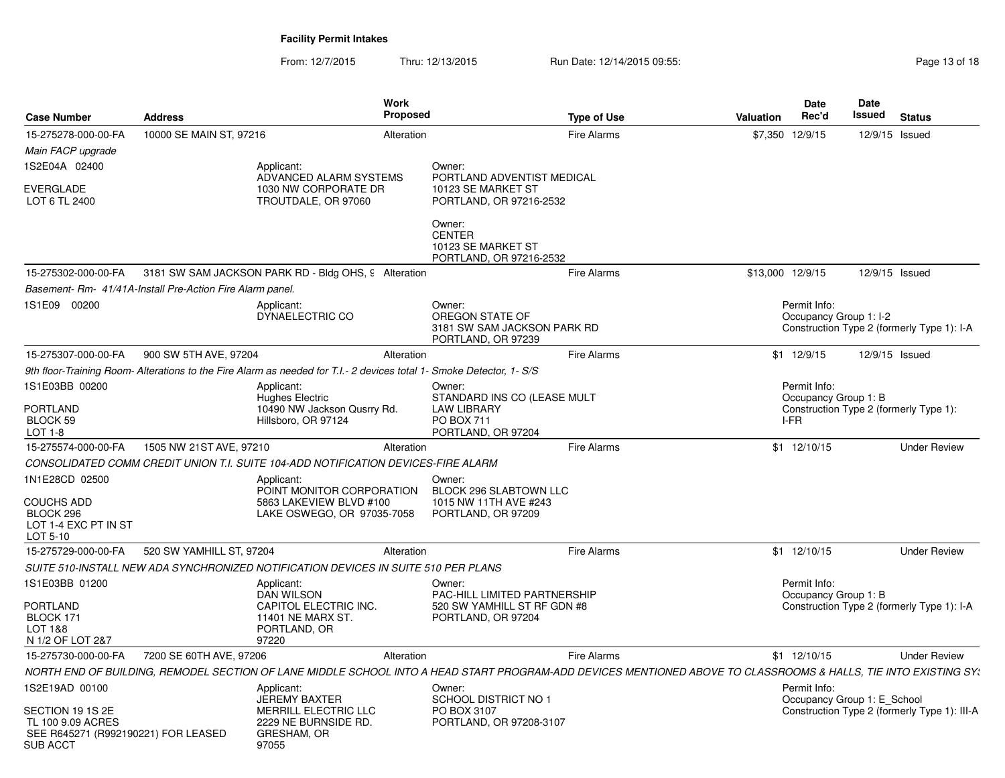From: 12/7/2015Thru: 12/13/2015 Run Date: 12/14/2015 09:55:<br>48 Page 13 of 18

| <b>Case Number</b>                                                                              | <b>Address</b>                                            | <b>Work</b><br><b>Proposed</b>                                                                                                                                  |                                                                                 | <b>Type of Use</b> | Valuation | <b>Date</b><br>Rec'd                   | Date<br><b>Issued</b> | <b>Status</b>                                |
|-------------------------------------------------------------------------------------------------|-----------------------------------------------------------|-----------------------------------------------------------------------------------------------------------------------------------------------------------------|---------------------------------------------------------------------------------|--------------------|-----------|----------------------------------------|-----------------------|----------------------------------------------|
| 15-275278-000-00-FA                                                                             | 10000 SE MAIN ST, 97216                                   | Alteration                                                                                                                                                      |                                                                                 | <b>Fire Alarms</b> | \$7,350   | 12/9/15                                | 12/9/15 Issued        |                                              |
| Main FACP upgrade                                                                               |                                                           |                                                                                                                                                                 |                                                                                 |                    |           |                                        |                       |                                              |
| 1S2E04A 02400<br><b>EVERGLADE</b>                                                               |                                                           | Applicant:<br>ADVANCED ALARM SYSTEMS<br>1030 NW CORPORATE DR                                                                                                    | Owner:<br>PORTLAND ADVENTIST MEDICAL<br>10123 SE MARKET ST                      |                    |           |                                        |                       |                                              |
| LOT 6 TL 2400                                                                                   |                                                           | TROUTDALE, OR 97060                                                                                                                                             | PORTLAND, OR 97216-2532                                                         |                    |           |                                        |                       |                                              |
|                                                                                                 |                                                           |                                                                                                                                                                 | Owner:<br><b>CENTER</b><br>10123 SE MARKET ST<br>PORTLAND, OR 97216-2532        |                    |           |                                        |                       |                                              |
| 15-275302-000-00-FA                                                                             |                                                           | 3181 SW SAM JACKSON PARK RD - Bldg OHS, 9 Alteration                                                                                                            |                                                                                 | <b>Fire Alarms</b> |           | \$13,000 12/9/15                       | 12/9/15 Issued        |                                              |
|                                                                                                 | Basement- Rm- 41/41A-Install Pre-Action Fire Alarm panel. |                                                                                                                                                                 |                                                                                 |                    |           |                                        |                       |                                              |
| 1S1E09 00200                                                                                    |                                                           | Applicant:<br>DYNAELECTRIC CO                                                                                                                                   | Owner:<br>OREGON STATE OF<br>3181 SW SAM JACKSON PARK RD<br>PORTLAND, OR 97239  |                    |           | Permit Info:<br>Occupancy Group 1: I-2 |                       | Construction Type 2 (formerly Type 1): I-A   |
| 15-275307-000-00-FA                                                                             | 900 SW 5TH AVE, 97204                                     | Alteration                                                                                                                                                      |                                                                                 | Fire Alarms        |           | $$1$ 12/9/15                           | 12/9/15 Issued        |                                              |
|                                                                                                 |                                                           | 9th floor-Training Room-Alterations to the Fire Alarm as needed for T.I.- 2 devices total 1- Smoke Detector, 1- S/S                                             |                                                                                 |                    |           |                                        |                       |                                              |
| 1S1E03BB 00200                                                                                  |                                                           | Applicant:<br>Hughes Electric                                                                                                                                   | Owner:<br>STANDARD INS CO (LEASE MULT                                           |                    |           | Permit Info:<br>Occupancy Group 1: B   |                       |                                              |
| PORTLAND<br>BLOCK 59<br>LOT 1-8                                                                 |                                                           | 10490 NW Jackson Qusrry Rd.<br>Hillsboro, OR 97124                                                                                                              | <b>LAW LIBRARY</b><br><b>PO BOX 711</b><br>PORTLAND, OR 97204                   |                    |           | I-FR                                   |                       | Construction Type 2 (formerly Type 1):       |
| 15-275574-000-00-FA                                                                             | 1505 NW 21ST AVE, 97210                                   | Alteration                                                                                                                                                      |                                                                                 | <b>Fire Alarms</b> |           | \$1 12/10/15                           |                       | <b>Under Review</b>                          |
|                                                                                                 |                                                           | CONSOLIDATED COMM CREDIT UNION T.I. SUITE 104-ADD NOTIFICATION DEVICES-FIRE ALARM                                                                               |                                                                                 |                    |           |                                        |                       |                                              |
| 1N1E28CD 02500<br><b>COUCHS ADD</b><br>BLOCK 296<br>LOT 1-4 EXC PT IN ST<br>LOT 5-10            |                                                           | Applicant:<br>POINT MONITOR CORPORATION<br>5863 LAKEVIEW BLVD #100<br>LAKE OSWEGO, OR 97035-7058                                                                | Owner:<br>BLOCK 296 SLABTOWN LLC<br>1015 NW 11TH AVE #243<br>PORTLAND, OR 97209 |                    |           |                                        |                       |                                              |
| 15-275729-000-00-FA                                                                             | 520 SW YAMHILL ST, 97204                                  | Alteration                                                                                                                                                      |                                                                                 | <b>Fire Alarms</b> |           | \$1 12/10/15                           |                       | <b>Under Review</b>                          |
|                                                                                                 |                                                           | SUITE 510-INSTALL NEW ADA SYNCHRONIZED NOTIFICATION DEVICES IN SUITE 510 PER PLANS                                                                              |                                                                                 |                    |           |                                        |                       |                                              |
| 1S1E03BB 01200                                                                                  |                                                           | Applicant:<br><b>DAN WILSON</b>                                                                                                                                 | Owner:<br>PAC-HILL LIMITED PARTNERSHIP                                          |                    |           | Permit Info:<br>Occupancy Group 1: B   |                       |                                              |
| PORTLAND<br>BLOCK 171<br>LOT 1&8<br>N 1/2 OF LOT 2&7                                            |                                                           | CAPITOL ELECTRIC INC.<br>11401 NE MARX ST.<br>PORTLAND, OR<br>97220                                                                                             | 520 SW YAMHILL ST RF GDN #8<br>PORTLAND, OR 97204                               |                    |           |                                        |                       | Construction Type 2 (formerly Type 1): I-A   |
| 15-275730-000-00-FA                                                                             | 7200 SE 60TH AVE, 97206                                   | Alteration                                                                                                                                                      |                                                                                 | <b>Fire Alarms</b> |           | \$1 12/10/15                           |                       | <b>Under Review</b>                          |
|                                                                                                 |                                                           | NORTH END OF BUILDING, REMODEL SECTION OF LANE MIDDLE SCHOOL INTO A HEAD START PROGRAM-ADD DEVICES MENTIONED ABOVE TO CLASSROOMS & HALLS, TIE INTO EXISTING SY: |                                                                                 |                    |           |                                        |                       |                                              |
| 1S2E19AD 00100                                                                                  |                                                           | Applicant:<br><b>JEREMY BAXTER</b>                                                                                                                              | Owner:<br><b>SCHOOL DISTRICT NO 1</b>                                           |                    |           | Permit Info:                           |                       |                                              |
| SECTION 19 1S 2E<br>TL 100 9.09 ACRES<br>SEE R645271 (R992190221) FOR LEASED<br><b>SUB ACCT</b> |                                                           | MERRILL ELECTRIC LLC<br>2229 NE BURNSIDE RD.<br>GRESHAM, OR<br>97055                                                                                            | PO BOX 3107<br>PORTLAND, OR 97208-3107                                          |                    |           | Occupancy Group 1: E School            |                       | Construction Type 2 (formerly Type 1): III-A |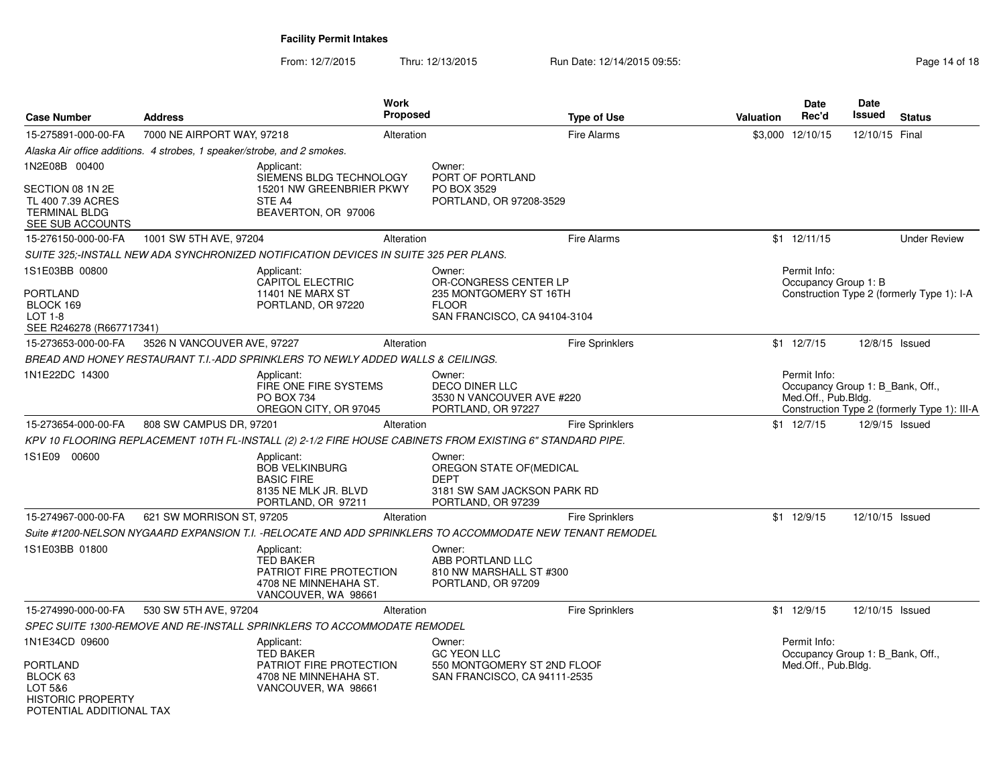From: 12/7/2015Thru: 12/13/2015 Run Date: 12/14/2015 09:55:<br>49 Page 14 of 18

| <b>Case Number</b>                                                                             | <b>Address</b>                                                                                            | <b>Work</b><br>Proposed | <b>Type of Use</b>                                                            | <b>Date</b><br>Rec'd<br><b>Valuation</b> | <b>Date</b><br><b>Issued</b>                            | <b>Status</b>                                |
|------------------------------------------------------------------------------------------------|-----------------------------------------------------------------------------------------------------------|-------------------------|-------------------------------------------------------------------------------|------------------------------------------|---------------------------------------------------------|----------------------------------------------|
| 15-275891-000-00-FA                                                                            | 7000 NE AIRPORT WAY, 97218                                                                                | Alteration              | <b>Fire Alarms</b>                                                            | \$3,000 12/10/15                         |                                                         | 12/10/15 Final                               |
|                                                                                                | Alaska Air office additions. 4 strobes, 1 speaker/strobe, and 2 smokes.                                   |                         |                                                                               |                                          |                                                         |                                              |
| 1N2E08B 00400                                                                                  | Applicant:<br>SIEMENS BLDG TECHNOLOGY                                                                     | Owner:                  | PORT OF PORTLAND                                                              |                                          |                                                         |                                              |
| SECTION 08 1N 2E<br>TL 400 7.39 ACRES<br><b>TERMINAL BLDG</b><br>SEE SUB ACCOUNTS              | 15201 NW GREENBRIER PKWY<br>STE A4<br>BEAVERTON, OR 97006                                                 |                         | PO BOX 3529<br>PORTLAND, OR 97208-3529                                        |                                          |                                                         |                                              |
| 15-276150-000-00-FA                                                                            | 1001 SW 5TH AVE, 97204                                                                                    | Alteration              | <b>Fire Alarms</b>                                                            | \$1 12/11/15                             |                                                         | <b>Under Review</b>                          |
|                                                                                                | SUITE 325;-INSTALL NEW ADA SYNCHRONIZED NOTIFICATION DEVICES IN SUITE 325 PER PLANS.                      |                         |                                                                               |                                          |                                                         |                                              |
| 1S1E03BB 00800                                                                                 | Applicant:<br>CAPITOL ELECTRIC                                                                            | Owner:                  | OR-CONGRESS CENTER LP                                                         | Permit Info:                             | Occupancy Group 1: B                                    |                                              |
| <b>PORTLAND</b><br>BLOCK 169<br>$LOT 1-8$<br>SEE R246278 (R667717341)                          | 11401 NE MARX ST<br>PORTLAND, OR 97220                                                                    | <b>FLOOR</b>            | 235 MONTGOMERY ST 16TH<br>SAN FRANCISCO, CA 94104-3104                        |                                          |                                                         | Construction Type 2 (formerly Type 1): I-A   |
| 15-273653-000-00-FA                                                                            | 3526 N VANCOUVER AVE, 97227                                                                               | Alteration              | Fire Sprinklers                                                               | \$1 12/7/15                              |                                                         | 12/8/15 Issued                               |
|                                                                                                | BREAD AND HONEY RESTAURANT T.I.-ADD SPRINKLERS TO NEWLY ADDED WALLS & CEILINGS.                           |                         |                                                                               |                                          |                                                         |                                              |
| 1N1E22DC 14300                                                                                 | Applicant:<br>FIRE ONE FIRE SYSTEMS<br>PO BOX 734<br>OREGON CITY, OR 97045                                | Owner:                  | <b>DECO DINER LLC</b><br>3530 N VANCOUVER AVE #220<br>PORTLAND, OR 97227      | Permit Info:                             | Occupancy Group 1: B_Bank, Off.,<br>Med.Off., Pub.Bldg. | Construction Type 2 (formerly Type 1): III-A |
| 15-273654-000-00-FA                                                                            | 808 SW CAMPUS DR. 97201                                                                                   | Alteration              | <b>Fire Sprinklers</b>                                                        | $$1 \t12/7/15$                           |                                                         | 12/9/15 Issued                               |
|                                                                                                | KPV 10 FLOORING REPLACEMENT 10TH FL-INSTALL (2) 2-1/2 FIRE HOUSE CABINETS FROM EXISTING 6" STANDARD PIPE. |                         |                                                                               |                                          |                                                         |                                              |
| 1S1E09 00600                                                                                   | Applicant:<br><b>BOB VELKINBURG</b><br><b>BASIC FIRE</b><br>8135 NE MLK JR. BLVD<br>PORTLAND, OR 97211    | Owner:<br><b>DEPT</b>   | OREGON STATE OF (MEDICAL<br>3181 SW SAM JACKSON PARK RD<br>PORTLAND, OR 97239 |                                          |                                                         |                                              |
| 15-274967-000-00-FA                                                                            | 621 SW MORRISON ST, 97205                                                                                 | Alteration              | <b>Fire Sprinklers</b>                                                        | $$1$ 12/9/15                             |                                                         | 12/10/15 Issued                              |
|                                                                                                | Suite #1200-NELSON NYGAARD EXPANSION T.I. -RELOCATE AND ADD SPRINKLERS TO ACCOMMODATE NEW TENANT REMODEL  |                         |                                                                               |                                          |                                                         |                                              |
| 1S1E03BB 01800                                                                                 | Applicant:<br><b>TED BAKER</b><br>PATRIOT FIRE PROTECTION<br>4708 NE MINNEHAHA ST.<br>VANCOUVER, WA 98661 | Owner:                  | ABB PORTLAND LLC<br>810 NW MARSHALL ST #300<br>PORTLAND, OR 97209             |                                          |                                                         |                                              |
| 15-274990-000-00-FA                                                                            | 530 SW 5TH AVE, 97204                                                                                     | Alteration              | <b>Fire Sprinklers</b>                                                        | $$1$ 12/9/15                             |                                                         | 12/10/15 Issued                              |
|                                                                                                | SPEC SUITE 1300-REMOVE AND RE-INSTALL SPRINKLERS TO ACCOMMODATE REMODEL                                   |                         |                                                                               |                                          |                                                         |                                              |
| 1N1E34CD 09600                                                                                 | Applicant:<br><b>TED BAKER</b>                                                                            | Owner:                  | <b>GC YEON LLC</b>                                                            | Permit Info:                             | Occupancy Group 1: B_Bank, Off.,                        |                                              |
| <b>PORTLAND</b><br>BLOCK 63<br>LOT 5&6<br><b>HISTORIC PROPERTY</b><br>POTENTIAL ADDITIONAL TAX | PATRIOT FIRE PROTECTION<br>4708 NE MINNEHAHA ST.<br>VANCOUVER, WA 98661                                   |                         | 550 MONTGOMERY ST 2ND FLOOF<br>SAN FRANCISCO, CA 94111-2535                   |                                          | Med.Off., Pub.Bldg.                                     |                                              |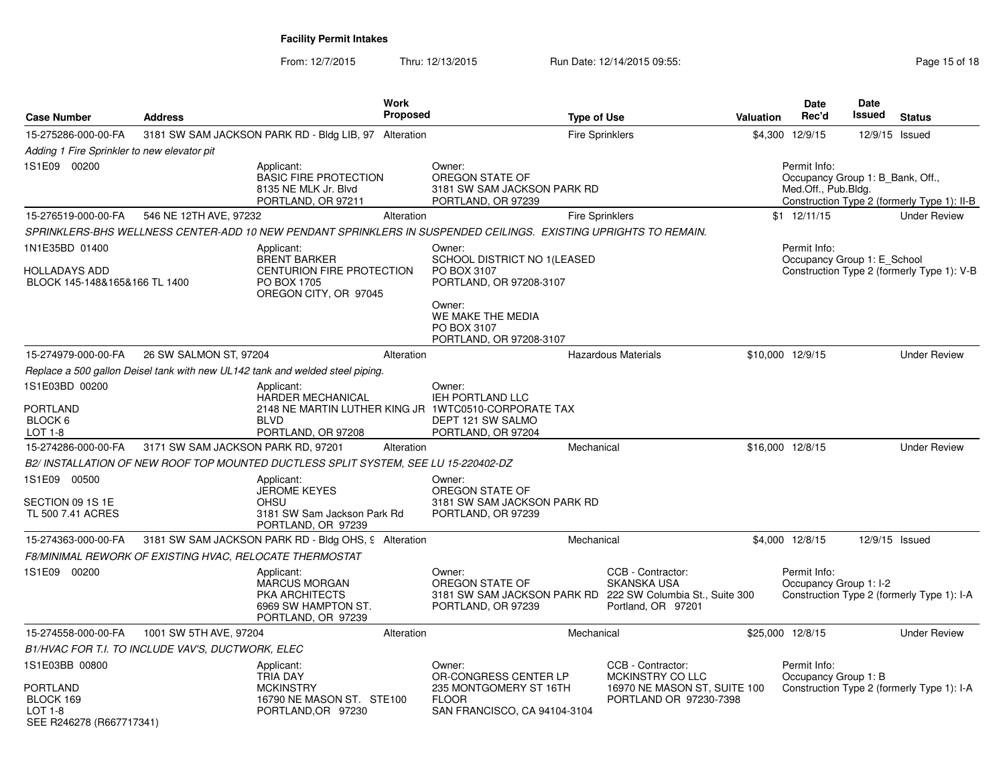From: 12/7/2015Thru: 12/13/2015 Run Date: 12/14/2015 09:55:<br>48 Page 15 of 18

| <b>Case Number</b>                                                  | <b>Address</b>                                          |                                                                                                          | <b>Work</b><br>Proposed | <b>Type of Use</b>                                                                                               |                                                               | Valuation        | Date<br>Rec'd                                                           | <b>Date</b><br>Issued | <b>Status</b>                               |
|---------------------------------------------------------------------|---------------------------------------------------------|----------------------------------------------------------------------------------------------------------|-------------------------|------------------------------------------------------------------------------------------------------------------|---------------------------------------------------------------|------------------|-------------------------------------------------------------------------|-----------------------|---------------------------------------------|
| 15-275286-000-00-FA                                                 |                                                         | 3181 SW SAM JACKSON PARK RD - Bldg LIB, 97 Alteration                                                    |                         |                                                                                                                  | <b>Fire Sprinklers</b>                                        |                  | \$4,300 12/9/15                                                         |                       | 12/9/15 Issued                              |
| Adding 1 Fire Sprinkler to new elevator pit                         |                                                         |                                                                                                          |                         |                                                                                                                  |                                                               |                  |                                                                         |                       |                                             |
| 1S1E09 00200                                                        |                                                         | Applicant:<br><b>BASIC FIRE PROTECTION</b><br>8135 NE MLK Jr. Blvd<br>PORTLAND, OR 97211                 |                         | Owner:<br>OREGON STATE OF<br>3181 SW SAM JACKSON PARK RD<br>PORTLAND, OR 97239                                   |                                                               |                  | Permit Info:<br>Occupancy Group 1: B Bank, Off.,<br>Med.Off., Pub.Bldg. |                       | Construction Type 2 (formerly Type 1): II-B |
| 15-276519-000-00-FA                                                 | 546 NE 12TH AVE, 97232                                  |                                                                                                          | Alteration              |                                                                                                                  | <b>Fire Sprinklers</b>                                        |                  | $$1 \t12/11/15$                                                         |                       | <b>Under Review</b>                         |
|                                                                     |                                                         |                                                                                                          |                         | SPRINKLERS-BHS WELLNESS CENTER-ADD 10 NEW PENDANT SPRINKLERS IN SUSPENDED CEILINGS. EXISTING UPRIGHTS TO REMAIN. |                                                               |                  |                                                                         |                       |                                             |
| 1N1E35BD 01400                                                      |                                                         | Applicant:                                                                                               |                         | Owner:                                                                                                           |                                                               |                  | Permit Info:                                                            |                       |                                             |
| HOLLADAYS ADD<br>BLOCK 145-148&165&166 TL 1400                      |                                                         | <b>BRENT BARKER</b><br>CENTURION FIRE PROTECTION<br>PO BOX 1705<br>OREGON CITY, OR 97045                 |                         | SCHOOL DISTRICT NO 1(LEASED<br>PO BOX 3107<br>PORTLAND, OR 97208-3107                                            |                                                               |                  | Occupancy Group 1: E_School                                             |                       | Construction Type 2 (formerly Type 1): V-B  |
|                                                                     |                                                         |                                                                                                          |                         | Owner:<br>WE MAKE THE MEDIA<br>PO BOX 3107<br>PORTLAND, OR 97208-3107                                            |                                                               |                  |                                                                         |                       |                                             |
| 15-274979-000-00-FA                                                 | 26 SW SALMON ST, 97204                                  |                                                                                                          | Alteration              |                                                                                                                  | <b>Hazardous Materials</b>                                    | \$10,000 12/9/15 |                                                                         |                       | <b>Under Review</b>                         |
|                                                                     |                                                         | Replace a 500 gallon Deisel tank with new UL142 tank and welded steel piping.                            |                         |                                                                                                                  |                                                               |                  |                                                                         |                       |                                             |
| 1S1E03BD 00200                                                      |                                                         | Applicant:<br><b>HARDER MECHANICAL</b>                                                                   |                         | Owner:<br>IEH PORTLAND LLC                                                                                       |                                                               |                  |                                                                         |                       |                                             |
| PORTLAND<br>BLOCK 6<br>LOT 1-8                                      |                                                         | <b>BLVD</b><br>PORTLAND, OR 97208                                                                        |                         | 2148 NE MARTIN LUTHER KING JR 1WTC0510-CORPORATE TAX<br>DEPT 121 SW SALMO<br>PORTLAND, OR 97204                  |                                                               |                  |                                                                         |                       |                                             |
| 15-274286-000-00-FA                                                 | 3171 SW SAM JACKSON PARK RD, 97201                      |                                                                                                          | Alteration              | Mechanical                                                                                                       |                                                               | \$16,000 12/8/15 |                                                                         |                       | <b>Under Review</b>                         |
|                                                                     |                                                         | B2/ INSTALLATION OF NEW ROOF TOP MOUNTED DUCTLESS SPLIT SYSTEM, SEE LU 15-220402-DZ                      |                         |                                                                                                                  |                                                               |                  |                                                                         |                       |                                             |
| 1S1E09 00500                                                        |                                                         | Applicant:                                                                                               |                         | Owner:                                                                                                           |                                                               |                  |                                                                         |                       |                                             |
| SECTION 09 1S 1E<br>TL 500 7.41 ACRES                               |                                                         | <b>JEROME KEYES</b><br><b>OHSU</b><br>3181 SW Sam Jackson Park Rd<br>PORTLAND, OR 97239                  |                         | OREGON STATE OF<br>3181 SW SAM JACKSON PARK RD<br>PORTLAND, OR 97239                                             |                                                               |                  |                                                                         |                       |                                             |
| 15-274363-000-00-FA                                                 |                                                         | 3181 SW SAM JACKSON PARK RD - Bldg OHS, 9 Alteration                                                     |                         | Mechanical                                                                                                       |                                                               |                  | \$4,000 12/8/15                                                         |                       | 12/9/15 Issued                              |
|                                                                     | F8/MINIMAL REWORK OF EXISTING HVAC, RELOCATE THERMOSTAT |                                                                                                          |                         |                                                                                                                  |                                                               |                  |                                                                         |                       |                                             |
| 1S1E09 00200                                                        |                                                         | Applicant:<br><b>MARCUS MORGAN</b><br><b>PKA ARCHITECTS</b><br>6969 SW HAMPTON ST.<br>PORTLAND, OR 97239 |                         | Owner:<br>OREGON STATE OF<br>3181 SW SAM JACKSON PARK RD 222 SW Columbia St., Suite 300<br>PORTLAND, OR 97239    | CCB - Contractor:<br><b>SKANSKA USA</b><br>Portland, OR 97201 |                  | Permit Info:<br>Occupancy Group 1: I-2                                  |                       | Construction Type 2 (formerly Type 1): I-A  |
| 15-274558-000-00-FA                                                 | 1001 SW 5TH AVE, 97204                                  |                                                                                                          | Alteration              | Mechanical                                                                                                       |                                                               | \$25,000 12/8/15 |                                                                         |                       | <b>Under Review</b>                         |
|                                                                     | B1/HVAC FOR T.I. TO INCLUDE VAV'S, DUCTWORK, ELEC       |                                                                                                          |                         |                                                                                                                  |                                                               |                  |                                                                         |                       |                                             |
| 1S1E03BB 00800                                                      |                                                         | Applicant:<br><b>TRIA DAY</b>                                                                            |                         | Owner:<br>OR-CONGRESS CENTER LP                                                                                  | CCB - Contractor:<br>MCKINSTRY CO LLC                         |                  | Permit Info:<br>Occupancy Group 1: B                                    |                       |                                             |
| PORTLAND<br>BLOCK 169<br><b>LOT 1-8</b><br>SEE R246278 (R667717341) |                                                         | <b>MCKINSTRY</b><br>16790 NE MASON ST. STE100<br>PORTLAND, OR 97230                                      |                         | 235 MONTGOMERY ST 16TH<br><b>FLOOR</b><br>SAN FRANCISCO, CA 94104-3104                                           | 16970 NE MASON ST, SUITE 100<br>PORTLAND OR 97230-7398        |                  |                                                                         |                       | Construction Type 2 (formerly Type 1): I-A  |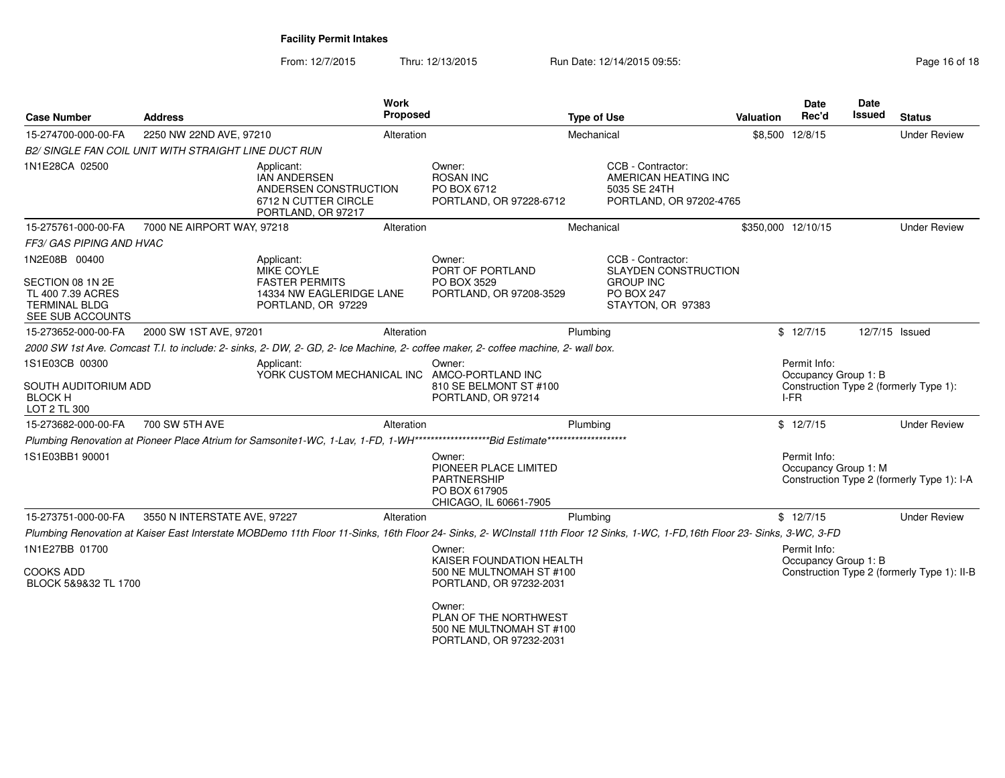From: 12/7/2015Thru: 12/13/2015 Run Date: 12/14/2015 09:55:<br>48 Page 16 of 18

| <b>Case Number</b>                                                       | <b>Address</b>                                       |                                                                                                                                                                                 | Work<br>Proposed |                                                                                           | <b>Type of Use</b> |                                                                                      | <b>Valuation</b> | Date<br>Rec'd                                | <b>Date</b><br>Issued | <b>Status</b>                               |
|--------------------------------------------------------------------------|------------------------------------------------------|---------------------------------------------------------------------------------------------------------------------------------------------------------------------------------|------------------|-------------------------------------------------------------------------------------------|--------------------|--------------------------------------------------------------------------------------|------------------|----------------------------------------------|-----------------------|---------------------------------------------|
| 15-274700-000-00-FA                                                      | 2250 NW 22ND AVE, 97210                              |                                                                                                                                                                                 | Alteration       |                                                                                           | Mechanical         |                                                                                      |                  | \$8,500 12/8/15                              |                       | <b>Under Review</b>                         |
|                                                                          | B2/ SINGLE FAN COIL UNIT WITH STRAIGHT LINE DUCT RUN |                                                                                                                                                                                 |                  |                                                                                           |                    |                                                                                      |                  |                                              |                       |                                             |
| 1N1E28CA 02500                                                           |                                                      | Applicant:<br><b>IAN ANDERSEN</b><br>ANDERSEN CONSTRUCTION<br>6712 N CUTTER CIRCLE<br>PORTLAND, OR 97217                                                                        |                  | Owner:<br><b>ROSAN INC</b><br>PO BOX 6712<br>PORTLAND, OR 97228-6712                      |                    | CCB - Contractor:<br>AMERICAN HEATING INC<br>5035 SE 24TH<br>PORTLAND, OR 97202-4765 |                  |                                              |                       |                                             |
| 15-275761-000-00-FA                                                      | 7000 NE AIRPORT WAY, 97218                           |                                                                                                                                                                                 | Alteration       |                                                                                           | Mechanical         |                                                                                      |                  | \$350,000 12/10/15                           |                       | <b>Under Review</b>                         |
| FF3/ GAS PIPING AND HVAC                                                 |                                                      |                                                                                                                                                                                 |                  |                                                                                           |                    |                                                                                      |                  |                                              |                       |                                             |
| 1N2E08B 00400<br>SECTION 08 1N 2E                                        |                                                      | Applicant:<br><b>MIKE COYLE</b><br><b>FASTER PERMITS</b>                                                                                                                        |                  | Owner:<br>PORT OF PORTLAND<br>PO BOX 3529                                                 |                    | CCB - Contractor:<br><b>SLAYDEN CONSTRUCTION</b><br><b>GROUP INC</b>                 |                  |                                              |                       |                                             |
| TL 400 7.39 ACRES<br><b>TERMINAL BLDG</b><br>SEE SUB ACCOUNTS            |                                                      | 14334 NW EAGLERIDGE LANE<br>PORTLAND, OR 97229                                                                                                                                  |                  | PORTLAND, OR 97208-3529                                                                   |                    | <b>PO BOX 247</b><br>STAYTON, OR 97383                                               |                  |                                              |                       |                                             |
| 15-273652-000-00-FA                                                      | 2000 SW 1ST AVE, 97201                               |                                                                                                                                                                                 | Alteration       |                                                                                           | Plumbing           |                                                                                      |                  | \$12/7/15                                    | 12/7/15 Issued        |                                             |
|                                                                          |                                                      | 2000 SW 1st Ave. Comcast T.I. to include: 2- sinks, 2- DW, 2- GD, 2- Ice Machine, 2- coffee maker, 2- coffee machine, 2- wall box.                                              |                  |                                                                                           |                    |                                                                                      |                  |                                              |                       |                                             |
| 1S1E03CB 00300<br>SOUTH AUDITORIUM ADD<br><b>BLOCK H</b><br>LOT 2 TL 300 |                                                      | Applicant:<br>YORK CUSTOM MECHANICAL INC                                                                                                                                        |                  | Owner:<br>AMCO-PORTLAND INC<br>810 SE BELMONT ST #100<br>PORTLAND, OR 97214               |                    |                                                                                      |                  | Permit Info:<br>Occupancy Group 1: B<br>I-FR |                       | Construction Type 2 (formerly Type 1):      |
| 15-273682-000-00-FA                                                      | 700 SW 5TH AVE                                       |                                                                                                                                                                                 | Alteration       |                                                                                           | Plumbing           |                                                                                      |                  | \$12/7/15                                    |                       | <b>Under Review</b>                         |
|                                                                          |                                                      |                                                                                                                                                                                 |                  |                                                                                           |                    |                                                                                      |                  |                                              |                       |                                             |
| 1S1E03BB1 90001                                                          |                                                      |                                                                                                                                                                                 |                  | Owner:<br>PIONEER PLACE LIMITED<br>PARTNERSHIP<br>PO BOX 617905<br>CHICAGO, IL 60661-7905 |                    |                                                                                      |                  | Permit Info:<br>Occupancy Group 1: M         |                       | Construction Type 2 (formerly Type 1): I-A  |
| 15-273751-000-00-FA                                                      | 3550 N INTERSTATE AVE, 97227                         |                                                                                                                                                                                 | Alteration       |                                                                                           | Plumbing           |                                                                                      |                  | \$12/7/15                                    |                       | <b>Under Review</b>                         |
|                                                                          |                                                      | Plumbing Renovation at Kaiser East Interstate MOBDemo 11th Floor 11-Sinks, 16th Floor 24- Sinks, 2- WCInstall 11th Floor 12 Sinks, 1-WC, 1-FD, 16th Floor 23- Sinks, 3-WC, 3-FD |                  |                                                                                           |                    |                                                                                      |                  |                                              |                       |                                             |
| 1N1E27BB 01700                                                           |                                                      |                                                                                                                                                                                 |                  | Owner:<br>KAISER FOUNDATION HEALTH                                                        |                    |                                                                                      |                  | Permit Info:<br>Occupancy Group 1: B         |                       |                                             |
| <b>COOKS ADD</b><br>BLOCK 5&9&32 TL 1700                                 |                                                      |                                                                                                                                                                                 |                  | 500 NE MULTNOMAH ST #100<br>PORTLAND, OR 97232-2031                                       |                    |                                                                                      |                  |                                              |                       | Construction Type 2 (formerly Type 1): II-B |
|                                                                          |                                                      |                                                                                                                                                                                 |                  | Owner:<br>PLAN OF THE NORTHWEST<br>500 NE MULTNOMAH ST #100<br>PORTLAND, OR 97232-2031    |                    |                                                                                      |                  |                                              |                       |                                             |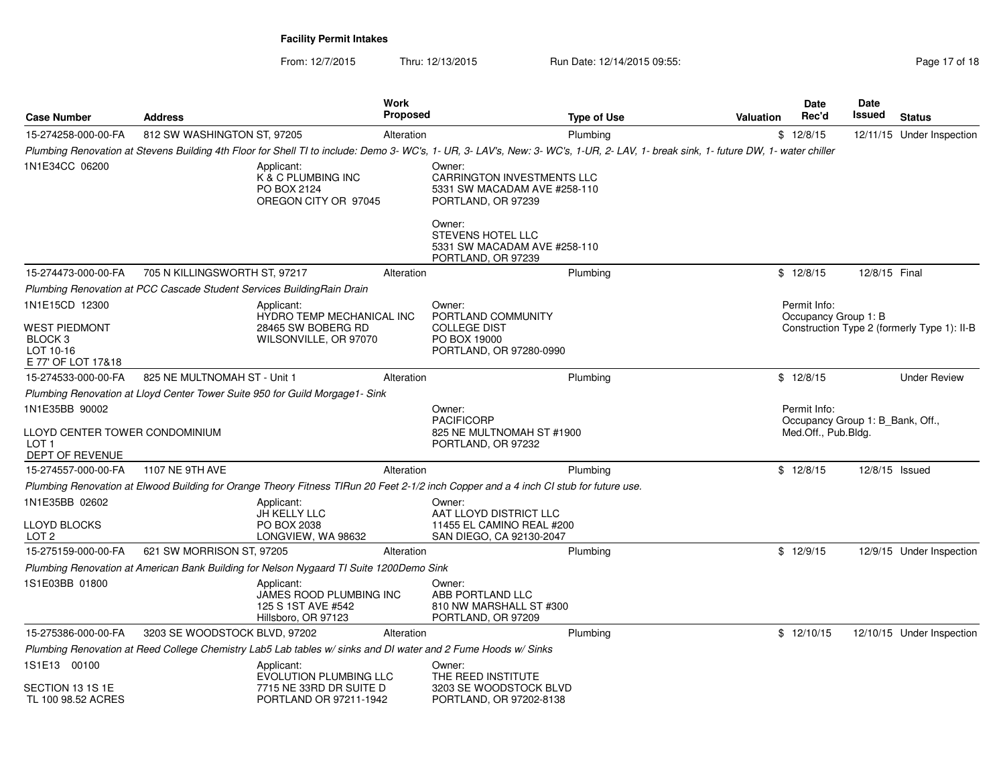From: 12/7/2015Thru: 12/13/2015 Run Date: 12/14/2015 09:55:<br>48 Page 17 of 18

| Case Number                                                                              | <b>Address</b>                | Work<br><b>Proposed</b>                                                                                                                                                             |                                                                                                             | <b>Type of Use</b> | Valuation | <b>Date</b><br>Rec'd                                                    | <b>Date</b><br>Issued | <b>Status</b>                               |
|------------------------------------------------------------------------------------------|-------------------------------|-------------------------------------------------------------------------------------------------------------------------------------------------------------------------------------|-------------------------------------------------------------------------------------------------------------|--------------------|-----------|-------------------------------------------------------------------------|-----------------------|---------------------------------------------|
| 15-274258-000-00-FA                                                                      | 812 SW WASHINGTON ST, 97205   | Alteration                                                                                                                                                                          |                                                                                                             | Plumbing           |           | \$12/8/15                                                               |                       | 12/11/15 Under Inspection                   |
|                                                                                          |                               | Plumbing Renovation at Stevens Building 4th Floor for Shell TI to include: Demo 3- WC's, 1- UR, 3- LAV's, New: 3- WC's, 1-UR, 2- LAV, 1- break sink, 1- future DW, 1- water chiller |                                                                                                             |                    |           |                                                                         |                       |                                             |
| 1N1E34CC 06200                                                                           |                               | Applicant:<br>K & C PLUMBING INC<br>PO BOX 2124<br>OREGON CITY OR 97045                                                                                                             | Owner:<br><b>CARRINGTON INVESTMENTS LLC</b><br>5331 SW MACADAM AVE #258-110<br>PORTLAND, OR 97239<br>Owner: |                    |           |                                                                         |                       |                                             |
|                                                                                          |                               |                                                                                                                                                                                     | <b>STEVENS HOTEL LLC</b><br>5331 SW MACADAM AVE #258-110<br>PORTLAND, OR 97239                              |                    |           |                                                                         |                       |                                             |
| 15-274473-000-00-FA                                                                      | 705 N KILLINGSWORTH ST, 97217 | Alteration                                                                                                                                                                          |                                                                                                             | Plumbing           |           | \$12/8/15                                                               | 12/8/15 Final         |                                             |
|                                                                                          |                               | Plumbing Renovation at PCC Cascade Student Services BuildingRain Drain                                                                                                              |                                                                                                             |                    |           |                                                                         |                       |                                             |
| 1N1E15CD 12300<br>WEST PIEDMONT<br>BLOCK <sub>3</sub><br>LOT 10-16<br>E 77' OF LOT 17&18 |                               | Applicant:<br>HYDRO TEMP MECHANICAL INC<br>28465 SW BOBERG RD<br>WILSONVILLE, OR 97070                                                                                              | Owner:<br>PORTLAND COMMUNITY<br><b>COLLEGE DIST</b><br>PO BOX 19000<br>PORTLAND, OR 97280-0990              |                    |           | Permit Info:<br>Occupancy Group 1: B                                    |                       | Construction Type 2 (formerly Type 1): II-B |
| 15-274533-000-00-FA                                                                      | 825 NE MULTNOMAH ST - Unit 1  | Alteration                                                                                                                                                                          |                                                                                                             | Plumbing           |           | \$12/8/15                                                               |                       | <b>Under Review</b>                         |
|                                                                                          |                               | Plumbing Renovation at Lloyd Center Tower Suite 950 for Guild Morgage1- Sink                                                                                                        |                                                                                                             |                    |           |                                                                         |                       |                                             |
| 1N1E35BB 90002<br>LLOYD CENTER TOWER CONDOMINIUM<br>LOT 1<br>DEPT OF REVENUE             |                               |                                                                                                                                                                                     | Owner:<br><b>PACIFICORP</b><br>825 NE MULTNOMAH ST #1900<br>PORTLAND, OR 97232                              |                    |           | Permit Info:<br>Occupancy Group 1: B Bank, Off.,<br>Med.Off., Pub.Bldg. |                       |                                             |
| 15-274557-000-00-FA                                                                      | 1107 NE 9TH AVE               | Alteration                                                                                                                                                                          |                                                                                                             | Plumbing           |           | \$12/8/15                                                               | 12/8/15 Issued        |                                             |
|                                                                                          |                               | Plumbing Renovation at Elwood Building for Orange Theory Fitness TIRun 20 Feet 2-1/2 inch Copper and a 4 inch CI stub for future use.                                               |                                                                                                             |                    |           |                                                                         |                       |                                             |
| 1N1E35BB 02602<br>LLOYD BLOCKS<br>LOT 2                                                  |                               | Applicant:<br>JH KELLY LLC<br>PO BOX 2038<br>LONGVIEW, WA 98632                                                                                                                     | Owner:<br>AAT LLOYD DISTRICT LLC<br>11455 EL CAMINO REAL #200<br>SAN DIEGO, CA 92130-2047                   |                    |           |                                                                         |                       |                                             |
| 15-275159-000-00-FA                                                                      | 621 SW MORRISON ST, 97205     | Alteration                                                                                                                                                                          |                                                                                                             | Plumbing           |           | \$12/9/15                                                               |                       | 12/9/15 Under Inspection                    |
|                                                                                          |                               | Plumbing Renovation at American Bank Building for Nelson Nygaard TI Suite 1200Demo Sink                                                                                             |                                                                                                             |                    |           |                                                                         |                       |                                             |
| 1S1E03BB 01800                                                                           |                               | Applicant:<br>JAMES ROOD PLUMBING INC<br>125 S 1ST AVE #542<br>Hillsboro, OR 97123                                                                                                  | Owner:<br>ABB PORTLAND LLC<br>810 NW MARSHALL ST #300<br>PORTLAND, OR 97209                                 |                    |           |                                                                         |                       |                                             |
| 15-275386-000-00-FA                                                                      | 3203 SE WOODSTOCK BLVD, 97202 | Alteration                                                                                                                                                                          |                                                                                                             | Plumbing           |           | \$12/10/15                                                              |                       | 12/10/15 Under Inspection                   |
|                                                                                          |                               | Plumbing Renovation at Reed College Chemistry Lab5 Lab tables w/ sinks and DI water and 2 Fume Hoods w/ Sinks                                                                       |                                                                                                             |                    |           |                                                                         |                       |                                             |
| 1S1E13 00100<br>SECTION 13 1S 1E<br>TL 100 98.52 ACRES                                   |                               | Applicant:<br><b>EVOLUTION PLUMBING LLC</b><br>7715 NE 33RD DR SUITE D<br>PORTLAND OR 97211-1942                                                                                    | Owner:<br>THE REED INSTITUTE<br>3203 SE WOODSTOCK BLVD<br>PORTLAND, OR 97202-8138                           |                    |           |                                                                         |                       |                                             |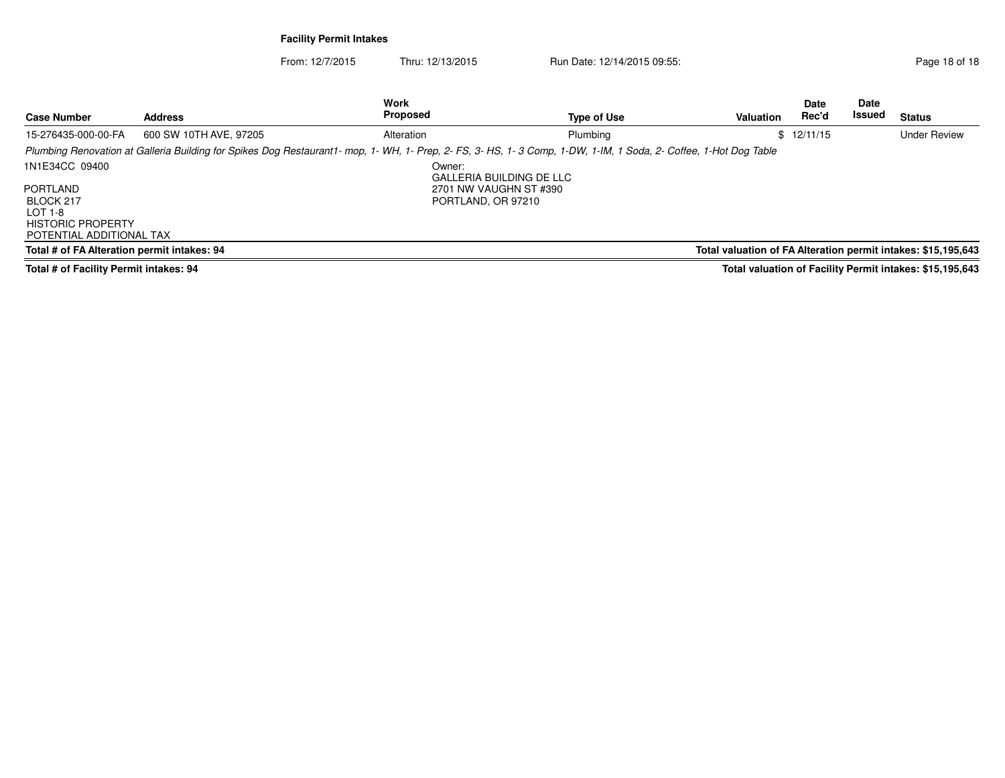From: 12/7/2015Thru: 12/13/2015 Run Date: 12/14/2015 09:55:<br>
Run Date: 12/14/2015 09:55:

| <b>Case Number</b>                                                                                         | <b>Address</b>         | Work<br>Proposed                                                                                                                                                 | Type of Use              | Valuation                                                     | <b>Date</b><br>Rec'd | <b>Date</b><br>Issued | <b>Status</b>                                            |
|------------------------------------------------------------------------------------------------------------|------------------------|------------------------------------------------------------------------------------------------------------------------------------------------------------------|--------------------------|---------------------------------------------------------------|----------------------|-----------------------|----------------------------------------------------------|
| 15-276435-000-00-FA                                                                                        | 600 SW 10TH AVE, 97205 | Alteration                                                                                                                                                       | Plumbing                 |                                                               | \$12/11/15           |                       | <b>Under Review</b>                                      |
|                                                                                                            |                        | Plumbing Renovation at Galleria Building for Spikes Dog Restaurant1- mop, 1- WH, 1- Prep, 2- FS, 3- HS, 1-3 Comp, 1-DW, 1-IM, 1 Soda, 2- Coffee, 1-Hot Dog Table |                          |                                                               |                      |                       |                                                          |
| 1N1E34CC 09400<br>PORTLAND<br>BLOCK 217<br>LOT 1-8<br><b>HISTORIC PROPERTY</b><br>POTENTIAL ADDITIONAL TAX |                        | Owner:<br>2701 NW VAUGHN ST #390<br>PORTLAND, OR 97210                                                                                                           | GALLERIA BUILDING DE LLC |                                                               |                      |                       |                                                          |
| Total # of FA Alteration permit intakes: 94                                                                |                        |                                                                                                                                                                  |                          | Total valuation of FA Alteration permit intakes: \$15,195,643 |                      |                       |                                                          |
| Total # of Equility Down't intelega: 04                                                                    |                        |                                                                                                                                                                  |                          |                                                               |                      |                       | Total valuation of Fooility Downit intelega: 015 105 649 |

**Total # of Facility Permit intakes: 94**

**Total valuation of Facility Permit intakes: \$15,195,643**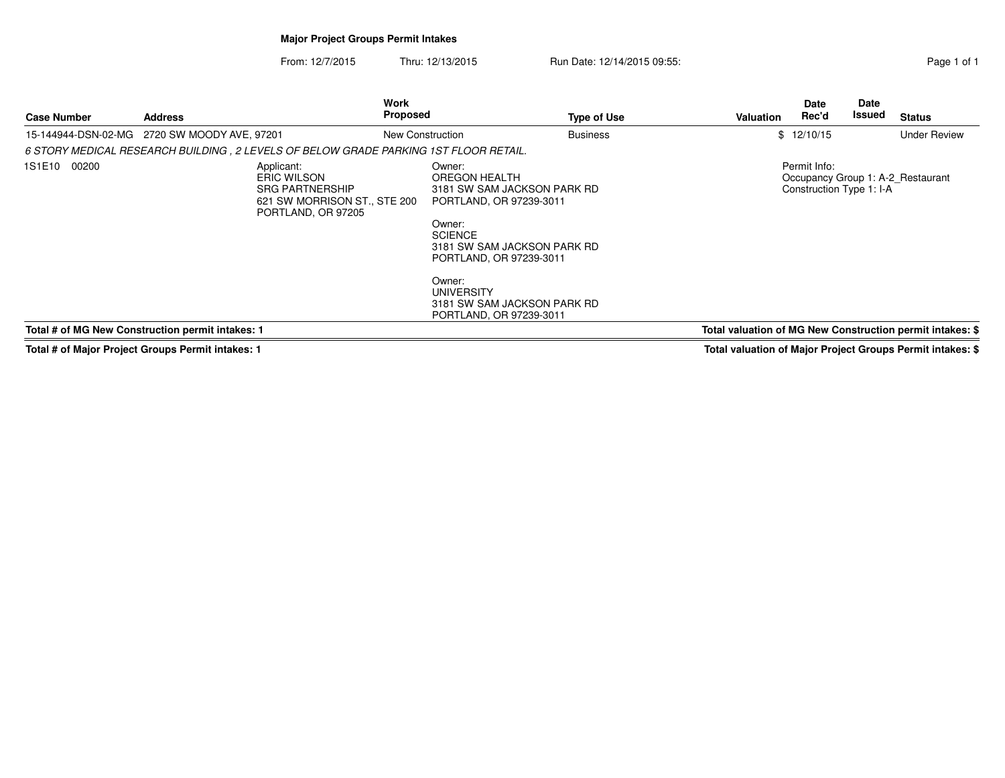## **Major Project Groups Permit Intakes**

From: 12/7/2015Thru: 12/13/2015 Run Date: 12/14/2015 09:55:

| Page 1 of 1 |  |  |
|-------------|--|--|
|             |  |  |

| <b>Case Number</b>                               | <b>Address</b>                                                                                                                                                                                     |  | Work<br><b>Proposed</b>                                                                                                                                                                                                                                          |  | <b>Type of Use</b> | Valuation                                | <b>Date</b><br>Rec'd | Date<br>Issued                                            | <b>Status</b>       |
|--------------------------------------------------|----------------------------------------------------------------------------------------------------------------------------------------------------------------------------------------------------|--|------------------------------------------------------------------------------------------------------------------------------------------------------------------------------------------------------------------------------------------------------------------|--|--------------------|------------------------------------------|----------------------|-----------------------------------------------------------|---------------------|
| 15-144944-DSN-02-MG 2720 SW MOODY AVE, 97201     |                                                                                                                                                                                                    |  | New Construction                                                                                                                                                                                                                                                 |  | <b>Business</b>    |                                          | \$12/10/15           |                                                           | <b>Under Review</b> |
|                                                  |                                                                                                                                                                                                    |  |                                                                                                                                                                                                                                                                  |  |                    |                                          |                      |                                                           |                     |
| 1S1E10 00200                                     | 6 STORY MEDICAL RESEARCH BUILDING , 2 LEVELS OF BELOW GRADE PARKING 1ST FLOOR RETAIL.<br>Applicant:<br>ERIC WILSON<br><b>SRG PARTNERSHIP</b><br>621 SW MORRISON ST., STE 200<br>PORTLAND, OR 97205 |  | Owner:<br>OREGON HEALTH<br>3181 SW SAM JACKSON PARK RD<br>PORTLAND, OR 97239-3011<br>Owner:<br><b>SCIENCE</b><br>3181 SW SAM JACKSON PARK RD<br>PORTLAND, OR 97239-3011<br>Owner:<br><b>UNIVERSITY</b><br>3181 SW SAM JACKSON PARK RD<br>PORTLAND, OR 97239-3011 |  |                    | Permit Info:<br>Construction Type 1: I-A |                      | Occupancy Group 1: A-2 Restaurant                         |                     |
| Total # of MG New Construction permit intakes: 1 |                                                                                                                                                                                                    |  |                                                                                                                                                                                                                                                                  |  |                    |                                          |                      | Total valuation of MG New Construction permit intakes: \$ |                     |

**Total # of Major Project Groups Permit intakes: 1**

**Total valuation of Major Project Groups Permit intakes: \$**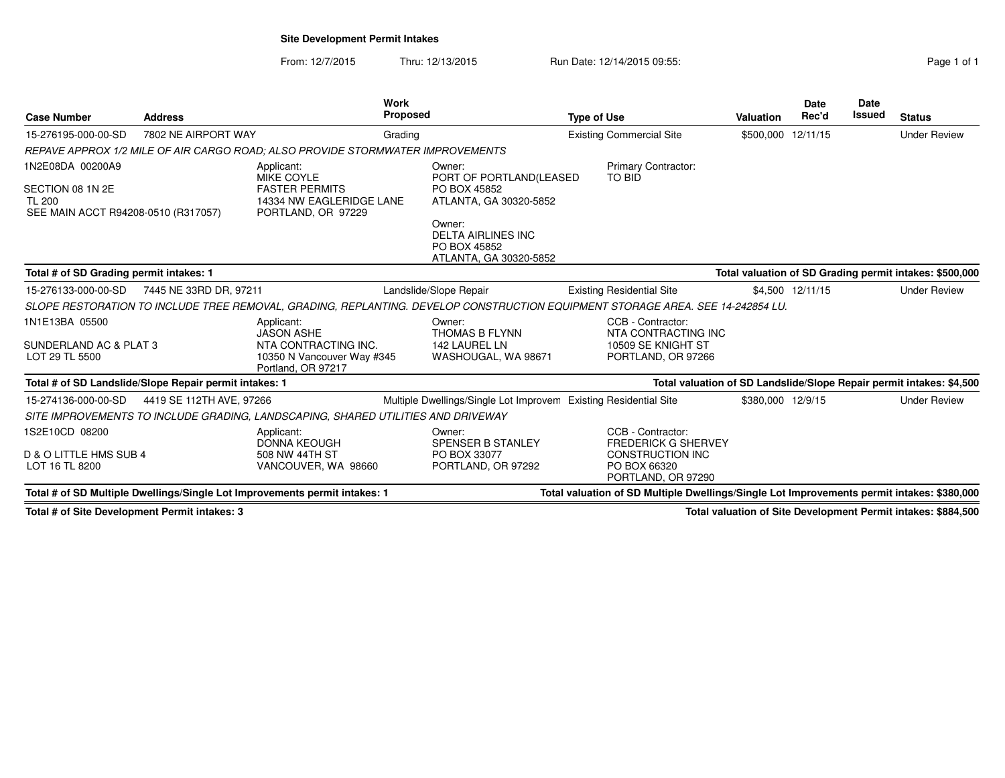**Site Development Permit Intakes**

**Work** 

From: 12/7/2015Thru: 12/13/2015 Run Date: 12/14/2015 09:55:<br>
Page 1 of 1

| <b>Case Number</b>                                                                           | <b>Address</b>                                         |                                                                                                                                | <b>Work</b><br><b>Proposed</b> |                                                                               | <b>Type of Use</b> |                                                                                                                  | <b>Valuation</b>  | Date<br>Rec'd    | Date<br>Issued | <b>Status</b>                                                        |
|----------------------------------------------------------------------------------------------|--------------------------------------------------------|--------------------------------------------------------------------------------------------------------------------------------|--------------------------------|-------------------------------------------------------------------------------|--------------------|------------------------------------------------------------------------------------------------------------------|-------------------|------------------|----------------|----------------------------------------------------------------------|
| 15-276195-000-00-SD                                                                          | 7802 NE AIRPORT WAY                                    |                                                                                                                                | Grading                        |                                                                               |                    | <b>Existing Commercial Site</b>                                                                                  | \$500,000         | 12/11/15         |                | <b>Under Review</b>                                                  |
|                                                                                              |                                                        | REPAVE APPROX 1/2 MILE OF AIR CARGO ROAD: ALSO PROVIDE STORMWATER IMPROVEMENTS                                                 |                                |                                                                               |                    |                                                                                                                  |                   |                  |                |                                                                      |
| 1N2E08DA 00200A9<br>SECTION 08 1N 2E<br><b>TL 200</b><br>SEE MAIN ACCT R94208-0510 (R317057) |                                                        | Applicant:<br>MIKE COYLE<br><b>FASTER PERMITS</b><br>14334 NW EAGLERIDGE LANE<br>PORTLAND, OR 97229                            |                                | Owner:<br>PORT OF PORTLAND(LEASED<br>PO BOX 45852<br>ATLANTA, GA 30320-5852   |                    | <b>Primary Contractor:</b><br><b>TO BID</b>                                                                      |                   |                  |                |                                                                      |
|                                                                                              |                                                        |                                                                                                                                |                                | Owner:<br><b>DELTA AIRLINES INC</b><br>PO BOX 45852<br>ATLANTA, GA 30320-5852 |                    |                                                                                                                  |                   |                  |                |                                                                      |
| Total # of SD Grading permit intakes: 1                                                      |                                                        |                                                                                                                                |                                |                                                                               |                    |                                                                                                                  |                   |                  |                | Total valuation of SD Grading permit intakes: \$500,000              |
| 15-276133-000-00-SD                                                                          | 7445 NE 33RD DR, 97211                                 |                                                                                                                                |                                | Landslide/Slope Repair                                                        |                    | <b>Existing Residential Site</b>                                                                                 |                   | \$4,500 12/11/15 |                | <b>Under Review</b>                                                  |
|                                                                                              |                                                        | SLOPE RESTORATION TO INCLUDE TREE REMOVAL, GRADING, REPLANTING. DEVELOP CONSTRUCTION EQUIPMENT STORAGE AREA. SEE 14-242854 LU. |                                |                                                                               |                    |                                                                                                                  |                   |                  |                |                                                                      |
| 1N1E13BA 05500<br>SUNDERLAND AC & PLAT 3<br>LOT 29 TL 5500                                   |                                                        | Applicant:<br><b>JASON ASHE</b><br>NTA CONTRACTING INC.<br>10350 N Vancouver Way #345<br>Portland, OR 97217                    |                                | Owner:<br><b>THOMAS B FLYNN</b><br>142 LAUREL LN<br>WASHOUGAL, WA 98671       |                    | CCB - Contractor:<br>NTA CONTRACTING INC<br>10509 SE KNIGHT ST<br>PORTLAND, OR 97266                             |                   |                  |                |                                                                      |
|                                                                                              | Total # of SD Landslide/Slope Repair permit intakes: 1 |                                                                                                                                |                                |                                                                               |                    |                                                                                                                  |                   |                  |                | Total valuation of SD Landslide/Slope Repair permit intakes: \$4,500 |
| 15-274136-000-00-SD                                                                          | 4419 SE 112TH AVE, 97266                               |                                                                                                                                |                                | Multiple Dwellings/Single Lot Improvem                                        |                    | <b>Existing Residential Site</b>                                                                                 | \$380,000 12/9/15 |                  |                | <b>Under Review</b>                                                  |
|                                                                                              |                                                        | SITE IMPROVEMENTS TO INCLUDE GRADING, LANDSCAPING, SHARED UTILITIES AND DRIVEWAY                                               |                                |                                                                               |                    |                                                                                                                  |                   |                  |                |                                                                      |
| 1S2E10CD 08200<br>D & O LITTLE HMS SUB 4<br>LOT 16 TL 8200                                   |                                                        | Applicant:<br><b>DONNA KEOUGH</b><br>508 NW 44TH ST<br>VANCOUVER, WA 98660                                                     |                                | Owner:<br>SPENSER B STANLEY<br>PO BOX 33077<br>PORTLAND, OR 97292             |                    | CCB - Contractor:<br><b>FREDERICK G SHERVEY</b><br><b>CONSTRUCTION INC</b><br>PO BOX 66320<br>PORTLAND, OR 97290 |                   |                  |                |                                                                      |
|                                                                                              |                                                        | Total # of SD Multiple Dwellings/Single Lot Improvements permit intakes: 1                                                     |                                |                                                                               |                    | Total valuation of SD Multiple Dwellings/Single Lot Improvements permit intakes: \$380,000                       |                   |                  |                |                                                                      |
|                                                                                              |                                                        |                                                                                                                                |                                |                                                                               |                    |                                                                                                                  |                   |                  |                |                                                                      |

**Total # of Site Development Permit intakes: 3**

**Total valuation of Site Development Permit intakes: \$884,500**

**Date**